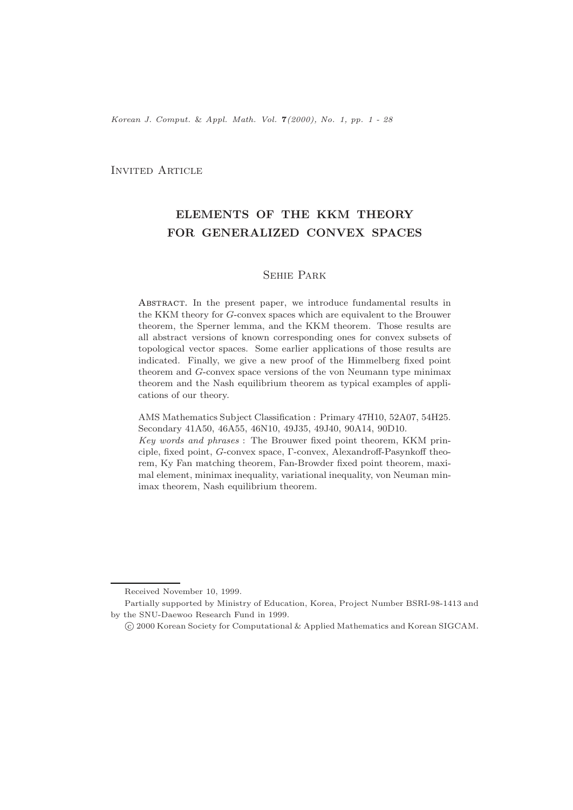*Korean J. Comput.* & *Appl. Math. Vol.* **7***(2000), No. 1, pp. 1 - 28*

# INVITED ARTICLE

# **ELEMENTS OF THE KKM THEORY FOR GENERALIZED CONVEX SPACES**

# Sehie Park

ABSTRACT. In the present paper, we introduce fundamental results in the KKM theory for G-convex spaces which are equivalent to the Brouwer theorem, the Sperner lemma, and the KKM theorem. Those results are all abstract versions of known corresponding ones for convex subsets of topological vector spaces. Some earlier applications of those results are indicated. Finally, we give a new proof of the Himmelberg fixed point theorem and G-convex space versions of the von Neumann type minimax theorem and the Nash equilibrium theorem as typical examples of applications of our theory.

AMS Mathematics Subject Classification : Primary 47H10, 52A07, 54H25. Secondary 41A50, 46A55, 46N10, 49J35, 49J40, 90A14, 90D10.

*Key words and phrases* : The Brouwer fixed point theorem, KKM principle, fixed point, G-convex space, Γ-convex, Alexandroff-Pasynkoff theorem, Ky Fan matching theorem, Fan-Browder fixed point theorem, maximal element, minimax inequality, variational inequality, von Neuman minimax theorem, Nash equilibrium theorem.

Received November 10, 1999.

Partially supported by Ministry of Education, Korea, Project Number BSRI-98-1413 and by the SNU-Daewoo Research Fund in 1999.

<sup>c</sup> 2000 Korean Society for Computational & Applied Mathematics and Korean SIGCAM.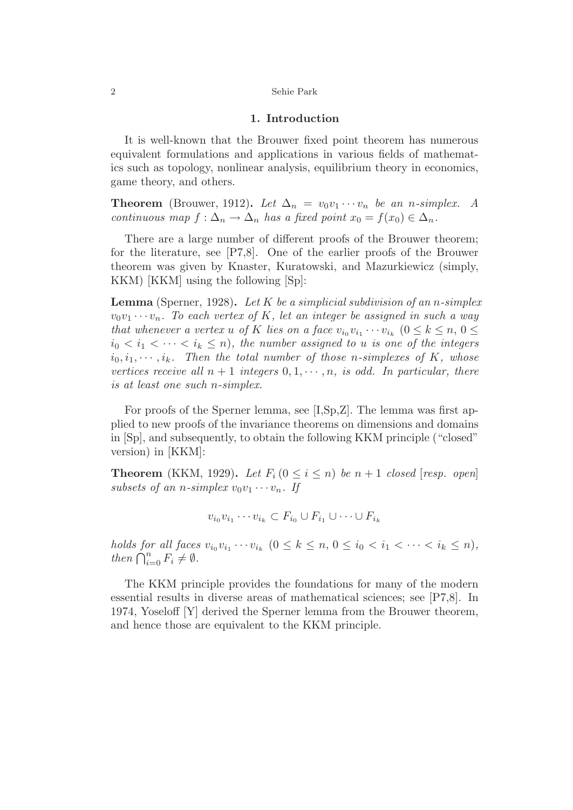## **1. Introduction**

It is well-known that the Brouwer fixed point theorem has numerous equivalent formulations and applications in various fields of mathematics such as topology, nonlinear analysis, equilibrium theory in economics, game theory, and others.

**Theorem** (Brouwer, 1912). Let  $\Delta_n = v_0v_1 \cdots v_n$  be an *n*-simplex. A *continuous map*  $f: \Delta_n \to \Delta_n$  *has a fixed point*  $x_0 = f(x_0) \in \Delta_n$ *.* 

There are a large number of different proofs of the Brouwer theorem; for the literature, see [P7,8]. One of the earlier proofs of the Brouwer theorem was given by Knaster, Kuratowski, and Mazurkiewicz (simply, KKM) [KKM] using the following [Sp]:

**Lemma** (Sperner, 1928)**.** *Let K be a simplicial subdivision of an n-simplex*  $v_0v_1 \cdots v_n$ . To each vertex of K, let an integer be assigned in such a way *that whenever a vertex u of K lies on a face*  $v_{i_0}v_{i_1}\cdots v_{i_k}$   $(0 \leq k \leq n, 0 \leq$  $i_0 < i_1 < \cdots < i_k \leq n$ , the number assigned to *u is one of the integers*  $i_0, i_1, \cdots, i_k$ . Then the total number of those *n*-simplexes of K, whose *vertices receive all*  $n + 1$  *integers*  $0, 1, \dots, n$ *, is odd. In particular, there is at least one such n-simplex.*

For proofs of the Sperner lemma, see [I,Sp,Z]. The lemma was first applied to new proofs of the invariance theorems on dimensions and domains in [Sp], and subsequently, to obtain the following KKM principle ("closed" version) in [KKM]:

**Theorem** (KKM, 1929). Let  $F_i$  ( $0 \leq i \leq n$ ) be  $n+1$  closed [resp. open] *subsets of an n-simplex*  $v_0v_1 \cdots v_n$ . If

$$
v_{i_0}v_{i_1}\cdots v_{i_k}\subset F_{i_0}\cup F_{i_1}\cup\cdots\cup F_{i_k}
$$

*holds for all faces*  $v_{i_0}v_{i_1}\cdots v_{i_k}$   $(0 \le k \le n, 0 \le i_0 < i_1 < \cdots < i_k \le n)$ , *then*  $\bigcap_{i=0}^{n} F_i \neq \emptyset$ *.* 

The KKM principle provides the foundations for many of the modern essential results in diverse areas of mathematical sciences; see [P7,8]. In 1974, Yoseloff [Y] derived the Sperner lemma from the Brouwer theorem, and hence those are equivalent to the KKM principle.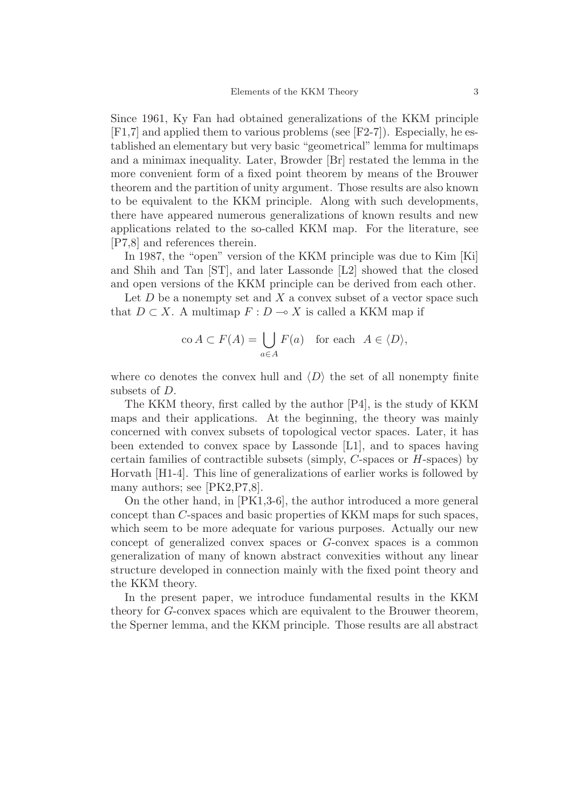Since 1961, Ky Fan had obtained generalizations of the KKM principle [F1,7] and applied them to various problems (see [F2-7]). Especially, he established an elementary but very basic "geometrical" lemma for multimaps and a minimax inequality. Later, Browder [Br] restated the lemma in the more convenient form of a fixed point theorem by means of the Brouwer theorem and the partition of unity argument. Those results are also known to be equivalent to the KKM principle. Along with such developments, there have appeared numerous generalizations of known results and new applications related to the so-called KKM map. For the literature, see [P7,8] and references therein.

In 1987, the "open" version of the KKM principle was due to Kim [Ki] and Shih and Tan [ST], and later Lassonde [L2] showed that the closed and open versions of the KKM principle can be derived from each other.

Let *D* be a nonempty set and *X* a convex subset of a vector space such that  $D \subset X$ . A multimap  $F: D \to X$  is called a KKM map if

$$
\operatorname{co} A \subset F(A) = \bigcup_{a \in A} F(a) \quad \text{for each} \ \ A \in \langle D \rangle,
$$

where co denotes the convex hull and  $\langle D \rangle$  the set of all nonempty finite subsets of *D*.

The KKM theory, first called by the author [P4], is the study of KKM maps and their applications. At the beginning, the theory was mainly concerned with convex subsets of topological vector spaces. Later, it has been extended to convex space by Lassonde [L1], and to spaces having certain families of contractible subsets (simply, *C*-spaces or *H*-spaces) by Horvath [H1-4]. This line of generalizations of earlier works is followed by many authors; see [PK2, P7,8].

On the other hand, in [PK1,3-6], the author introduced a more general concept than *C*-spaces and basic properties of KKM maps for such spaces, which seem to be more adequate for various purposes. Actually our new concept of generalized convex spaces or *G*-convex spaces is a common generalization of many of known abstract convexities without any linear structure developed in connection mainly with the fixed point theory and the KKM theory.

In the present paper, we introduce fundamental results in the KKM theory for *G*-convex spaces which are equivalent to the Brouwer theorem, the Sperner lemma, and the KKM principle. Those results are all abstract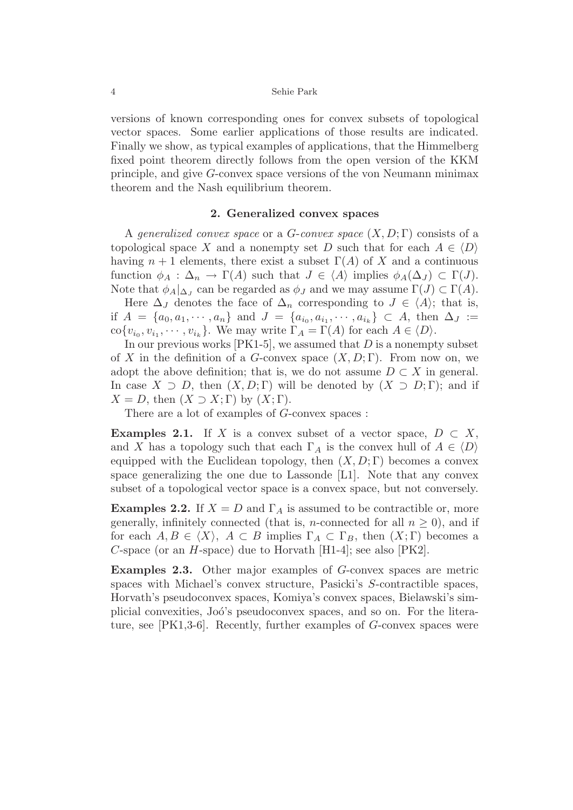versions of known corresponding ones for convex subsets of topological vector spaces. Some earlier applications of those results are indicated. Finally we show, as typical examples of applications, that the Himmelberg fixed point theorem directly follows from the open version of the KKM principle, and give *G*-convex space versions of the von Neumann minimax theorem and the Nash equilibrium theorem.

# **2. Generalized convex spaces**

A *generalized convex space* or a *G*-*convex space* (*X, D*; Γ) consists of a topological space *X* and a nonempty set *D* such that for each  $A \in \langle D \rangle$ having  $n+1$  elements, there exist a subset  $\Gamma(A)$  of X and a continuous function  $\phi_A : \Delta_n \to \Gamma(A)$  such that  $J \in \langle A \rangle$  implies  $\phi_A(\Delta_J) \subset \Gamma(J)$ . Note that  $\phi_A|_{\Delta_I}$  can be regarded as  $\phi_J$  and we may assume  $\Gamma(J) \subset \Gamma(A)$ .

Here  $\Delta_J$  denotes the face of  $\Delta_n$  corresponding to  $J \in \langle A \rangle$ ; that is, if  $A = \{a_0, a_1, \dots, a_n\}$  and  $J = \{a_{i_0}, a_{i_1}, \dots, a_{i_k}\} \subset A$ , then  $\Delta_J :=$  $\text{co}\{v_{i_0}, v_{i_1}, \cdots, v_{i_k}\}.$  We may write  $\Gamma_A = \Gamma(A)$  for each  $A \in \langle D \rangle$ .

In our previous works [PK1-5], we assumed that *D* is a nonempty subset of *X* in the definition of a *G*-convex space  $(X, D; \Gamma)$ . From now on, we adopt the above definition; that is, we do not assume  $D \subset X$  in general. In case  $X \supset D$ , then  $(X, D; \Gamma)$  will be denoted by  $(X \supset D; \Gamma)$ ; and if  $X = D$ , then  $(X \supset X; \Gamma)$  by  $(X; \Gamma)$ .

There are a lot of examples of *G*-convex spaces :

**Examples 2.1.** If *X* is a convex subset of a vector space,  $D \subset X$ , and *X* has a topology such that each  $\Gamma_A$  is the convex hull of  $A \in \langle D \rangle$ equipped with the Euclidean topology, then  $(X, D; \Gamma)$  becomes a convex space generalizing the one due to Lassonde [L1]. Note that any convex subset of a topological vector space is a convex space, but not conversely.

**Examples 2.2.** If  $X = D$  and  $\Gamma_A$  is assumed to be contractible or, more generally, infinitely connected (that is, *n*-connected for all  $n \geq 0$ ), and if for each  $A, B \in \langle X \rangle$ ,  $A \subset B$  implies  $\Gamma_A \subset \Gamma_B$ , then  $(X; \Gamma)$  becomes a *C*-space (or an *H*-space) due to Horvath [H1-4]; see also [PK2].

**Examples 2.3.** Other major examples of *G*-convex spaces are metric spaces with Michael's convex structure, Pasicki's *S*-contractible spaces, Horvath's pseudoconvex spaces, Komiya's convex spaces, Bielawski's simplicial convexities, Joó's pseudoconvex spaces, and so on. For the literature, see [PK1,3-6]. Recently, further examples of *G*-convex spaces were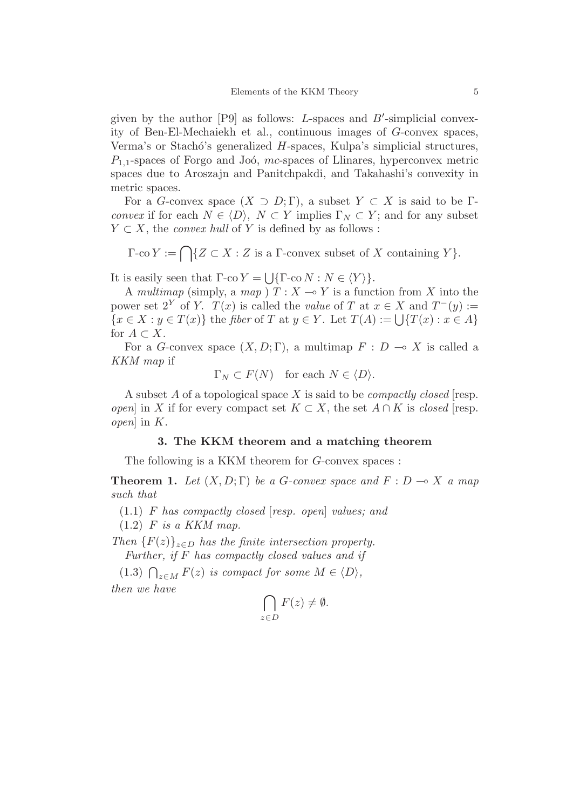given by the author  $[P9]$  as follows: *L*-spaces and *B'*-simplicial convexity of Ben-El-Mechaiekh et al., continuous images of *G*-convex spaces, Verma's or Stachó's generalized *H*-spaces, Kulpa's simplicial structures,  $P_{1,1}$ -spaces of Forgo and Joó, *mc*-spaces of Llinares, hyperconvex metric spaces due to Aroszajn and Panitchpakdi, and Takahashi's convexity in metric spaces.

For a *G*-convex space  $(X \supset D; \Gamma)$ , a subset  $Y \subset X$  is said to be  $\Gamma$ *convex* if for each  $N \in \langle D \rangle$ ,  $N \subset Y$  implies  $\Gamma_N \subset Y$ ; and for any subset  $Y \subset X$ , the *convex hull* of *Y* is defined by as follows :

 $\Gamma$ -co  $Y := \bigcap \{Z \subset X : Z \text{ is a } \Gamma$ -convex subset of  $X$  containing  $Y\}$ *.* 

It is easily seen that  $\Gamma$ -co *Y* =  $\left[\right.\left.\right|\left.\left\{\Gamma$ -co *N* : *N*  $\in$  *Y*  $\right\rangle\right\}$ .

A *multimap* (simply, a *map* )  $T: X \rightarrow Y$  is a function from X into the power set  $2^Y$  of *Y*.  $T(x)$  is called the *value* of *T* at  $x \in X$  and  $T^-(y) :=$  ${x \in X : y \in T(x)}$  the *fiber* of *T* at  $y \in Y$ . Let  $T(A) := \bigcup \{T(x) : x \in A\}$ for  $A \subset X$ .

For a *G*-convex space  $(X, D; \Gamma)$ , a multimap  $F: D \to X$  is called a *KKM map* if

$$
\Gamma_N \subset F(N) \quad \text{for each } N \in \langle D \rangle.
$$

A subset *A* of a topological space *X* is said to be *compactly closed* [resp. *open*] in *X* if for every compact set  $K \subset X$ , the set  $A \cap K$  is *closed* [resp. *open*] in *K*.

# **3. The KKM theorem and a matching theorem**

The following is a KKM theorem for *G*-convex spaces :

**Theorem 1.** Let  $(X, D; \Gamma)$  be a *G*-convex space and  $F: D \to X$  *a map such that*

(1.1) *F has compactly closed* [*resp. open*] *values; and*

(1.2) *F is a KKM map.*

*Then*  ${F(z)}_{z \in D}$  *has the finite intersection property. Further, if F has compactly closed values and if*

(1.3)  $\bigcap_{z \in M} F(z)$  *is compact for some*  $M \in \langle D \rangle$ *, then we have*

$$
\bigcap_{z \in D} F(z) \neq \emptyset.
$$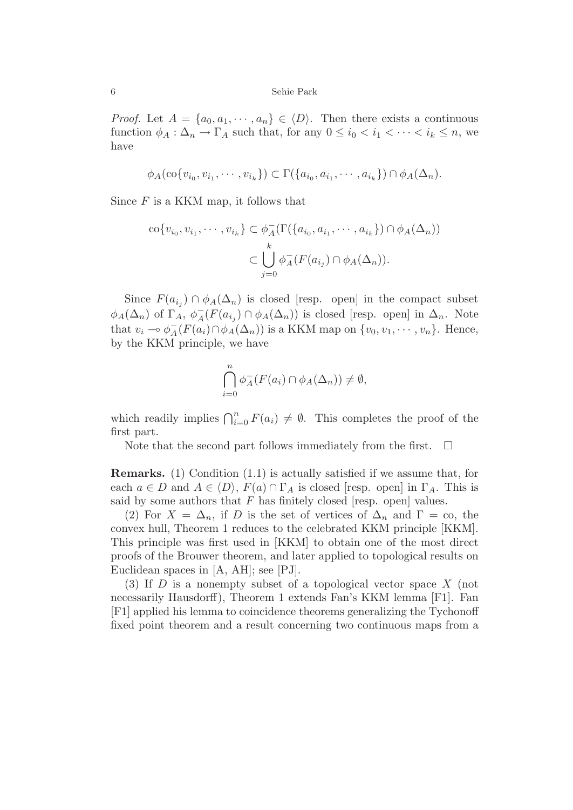*Proof.* Let  $A = \{a_0, a_1, \dots, a_n\} \in \langle D \rangle$ . Then there exists a continuous function  $\phi_A : \Delta_n \to \Gamma_A$  such that, for any  $0 \leq i_0 < i_1 < \cdots < i_k \leq n$ , we have

$$
\phi_A(\text{co}\{v_{i_0}, v_{i_1}, \cdots, v_{i_k}\}) \subset \Gamma(\{a_{i_0}, a_{i_1}, \cdots, a_{i_k}\}) \cap \phi_A(\Delta_n).
$$

Since *F* is a KKM map, it follows that

$$
\operatorname{co}\{v_{i_0}, v_{i_1}, \cdots, v_{i_k}\} \subset \phi_A^-(\Gamma(\{a_{i_0}, a_{i_1}, \cdots, a_{i_k}\}) \cap \phi_A(\Delta_n))
$$

$$
\subset \bigcup_{j=0}^k \phi_A^-(F(a_{i_j}) \cap \phi_A(\Delta_n)).
$$

Since  $F(a_{i}) \cap \phi_A(\Delta_n)$  is closed [resp. open] in the compact subset  $\phi_A(\Delta_n)$  of  $\Gamma_A$ ,  $\phi_A^-(F(a_{i_j}) \cap \phi_A(\Delta_n))$  is closed [resp. open] in  $\Delta_n$ . Note that  $v_i \multimap \phi_A^-(F(a_i) \cap \phi_A(\Delta_n))$  is a KKM map on  $\{v_0, v_1, \dots, v_n\}$ . Hence, by the KKM principle, we have

$$
\bigcap_{i=0}^{n} \phi_A^-(F(a_i) \cap \phi_A(\Delta_n)) \neq \emptyset,
$$

which readily implies  $\bigcap_{i=0}^n F(a_i) \neq \emptyset$ . This completes the proof of the first part.

Note that the second part follows immediately from the first.  $\Box$ 

**Remarks.** (1) Condition (1.1) is actually satisfied if we assume that, for each  $a \in D$  and  $A \in \langle D \rangle$ ,  $F(a) \cap \Gamma_A$  is closed [resp. open] in  $\Gamma_A$ . This is said by some authors that  $F$  has finitely closed [resp. open] values.

(2) For  $X = \Delta_n$ , if *D* is the set of vertices of  $\Delta_n$  and  $\Gamma = \infty$ , the convex hull, Theorem 1 reduces to the celebrated KKM principle [KKM]. This principle was first used in [KKM] to obtain one of the most direct proofs of the Brouwer theorem, and later applied to topological results on Euclidean spaces in [A, AH]; see [PJ].

(3) If *D* is a nonempty subset of a topological vector space *X* (not necessarily Hausdorff), Theorem 1 extends Fan's KKM lemma [F1]. Fan [F1] applied his lemma to coincidence theorems generalizing the Tychonoff fixed point theorem and a result concerning two continuous maps from a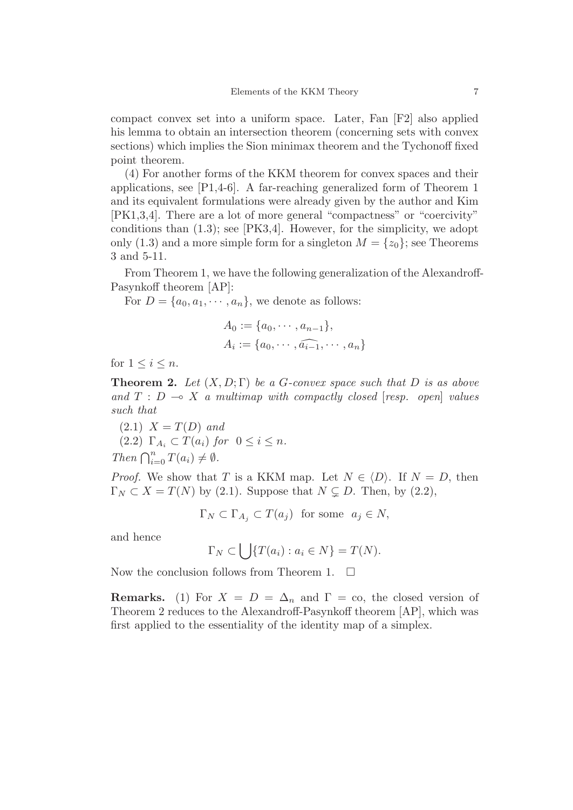compact convex set into a uniform space. Later, Fan [F2] also applied his lemma to obtain an intersection theorem (concerning sets with convex sections) which implies the Sion minimax theorem and the Tychonoff fixed point theorem.

(4) For another forms of the KKM theorem for convex spaces and their applications, see [P1,4-6]. A far-reaching generalized form of Theorem 1 and its equivalent formulations were already given by the author and Kim [PK1,3,4]. There are a lot of more general "compactness" or "coercivity" conditions than  $(1.3)$ ; see  $[PK3,4]$ . However, for the simplicity, we adopt only  $(1.3)$  and a more simple form for a singleton  $M = \{z_0\}$ ; see Theorems 3 and 5-11.

From Theorem 1, we have the following generalization of the Alexandroff-Pasynkoff theorem [AP]:

For  $D = \{a_0, a_1, \dots, a_n\}$ , we denote as follows:

$$
A_0 := \{a_0, \cdots, a_{n-1}\},
$$
  

$$
A_i := \{a_0, \cdots, \widehat{a_{i-1}}, \cdots, a_n\}
$$

for  $1 \leq i \leq n$ .

**Theorem 2.** Let  $(X, D; \Gamma)$  be a *G*-convex space such that *D* is as above *and*  $T : D \rightarrow X$  *a multimap with compactly closed [resp. open] values such that*

 $(2.1)$   $X = T(D)$  *and*  $(2.2)$   $\Gamma_{A_i} \subset T(a_i)$  for  $0 \leq i \leq n$ . *Then*  $\bigcap_{i=0}^{n} T(a_i) \neq \emptyset$ *.* 

*Proof.* We show that *T* is a KKM map. Let  $N \in \langle D \rangle$ . If  $N = D$ , then  $\Gamma_N \subset X = T(N)$  by (2.1). Suppose that  $N \subsetneq D$ . Then, by (2.2),

 $\Gamma_N \subset \Gamma_{A_i} \subset T(a_i)$  for some  $a_i \in N$ ,

and hence

$$
\Gamma_N \subset \bigcup \{ T(a_i) : a_i \in N \} = T(N).
$$

Now the conclusion follows from Theorem 1.  $\Box$ 

**Remarks.** (1) For  $X = D = \Delta_n$  and  $\Gamma = \infty$ , the closed version of Theorem 2 reduces to the Alexandroff-Pasynkoff theorem [AP], which was first applied to the essentiality of the identity map of a simplex.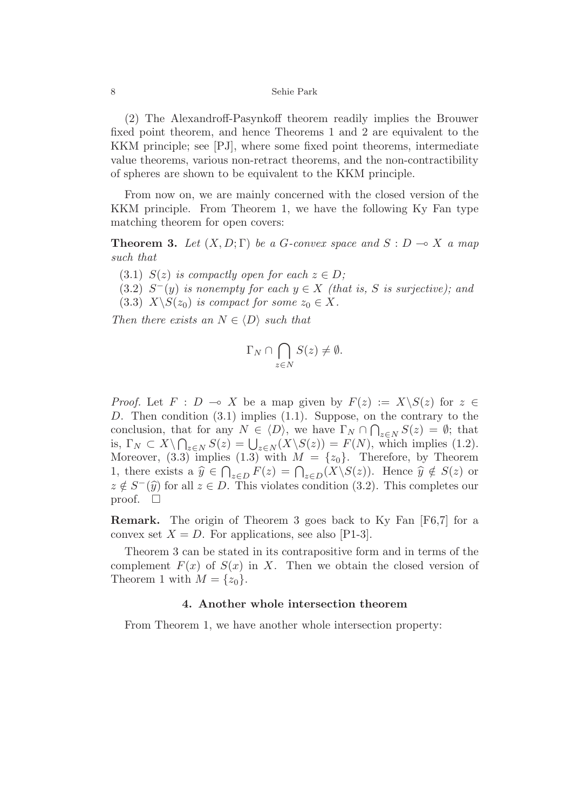(2) The Alexandroff-Pasynkoff theorem readily implies the Brouwer fixed point theorem, and hence Theorems 1 and 2 are equivalent to the KKM principle; see [PJ], where some fixed point theorems, intermediate value theorems, various non-retract theorems, and the non-contractibility of spheres are shown to be equivalent to the KKM principle.

From now on, we are mainly concerned with the closed version of the KKM principle. From Theorem 1, we have the following Ky Fan type matching theorem for open covers:

**Theorem 3.** *Let*  $(X, D; \Gamma)$  *be a G-convex space and*  $S: D \to X$  *a map such that*

(3.1)  $S(z)$  *is compactly open for each*  $z \in D$ ;

(3.2)  $S^-(y)$  *is nonempty for each*  $y \in X$  *(that is, S is surjective); and* 

(3.3)  $X \setminus S(z_0)$  *is compact for some*  $z_0 \in X$ *.* 

*Then there exists an*  $N \in \langle D \rangle$  *such that* 

$$
\Gamma_N \cap \bigcap_{z \in N} S(z) \neq \emptyset.
$$

*Proof.* Let  $F : D \multimap X$  be a map given by  $F(z) := X \setminus S(z)$  for  $z \in$ *D*. Then condition (3.1) implies (1.1). Suppose, on the contrary to the conclusion, that for any  $N \in \langle D \rangle$ , we have  $\Gamma_N \cap \bigcap_{z \in N} S(z) = \emptyset$ ; that is,  $\Gamma_N \subset X \setminus \bigcap_{z \in N} S(z) = \bigcup_{z \in N} (X \setminus S(z)) = F(N)$ , which implies (1.2). Moreover,  $(3.3)$  implies  $(1.3)$  with  $M = \{z_0\}$ . Therefore, by Theorem 1, there exists a  $\hat{y} \in \bigcap_{z \in D} F(z) = \bigcap_{z \in D} (X \setminus S(z))$ . Hence  $\hat{y} \notin S(z)$  or  $z \notin S^-(\hat{y})$  for all  $z \in D$ . This violates condition (3.2). This completes our proof.  $\square$ 

**Remark.** The origin of Theorem 3 goes back to Ky Fan [F6,7] for a convex set  $X = D$ . For applications, see also [P1-3].

Theorem 3 can be stated in its contrapositive form and in terms of the complement  $F(x)$  of  $S(x)$  in X. Then we obtain the closed version of Theorem 1 with  $M = \{z_0\}.$ 

# **4. Another whole intersection theorem**

From Theorem 1, we have another whole intersection property: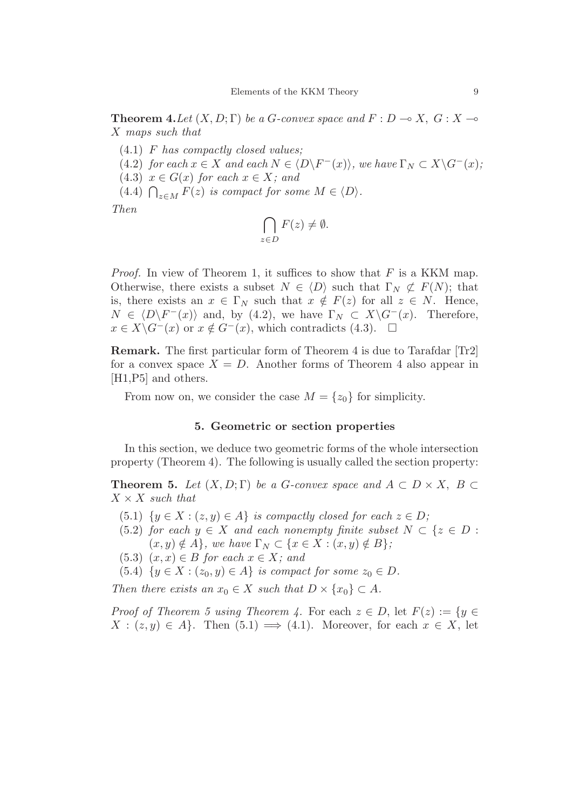**Theorem 4.** Let  $(X, D; \Gamma)$  be a *G*-convex space and  $F: D \to X$ ,  $G: X \to \mathbb{R}$ *X maps such that*

- (4.1) *F has compactly closed values;*
- $(4.2)$  *for each*  $x \in X$  *and each*  $N \in \langle D \setminus F^{-}(x) \rangle$ *, we have*  $\Gamma_N \subset X \setminus G^{-}(x)$ *;*
- $(4.3)$   $x \in G(x)$  for each  $x \in X$ ; and
- (4.4)  $\bigcap_{z \in M} F(z)$  *is compact for some*  $M \in \langle D \rangle$ *.*

*Then*

$$
\bigcap_{z \in D} F(z) \neq \emptyset.
$$

*Proof.* In view of Theorem 1, it suffices to show that *F* is a KKM map. Otherwise, there exists a subset  $N \in \langle D \rangle$  such that  $\Gamma_N \not\subset F(N)$ ; that is, there exists an  $x \in \Gamma_N$  such that  $x \notin F(z)$  for all  $z \in N$ . Hence,  $N \in \langle D \backslash F^-(x) \rangle$  and, by (4.2), we have  $\Gamma_N \subset X \backslash G^-(x)$ . Therefore,  $x \in X \backslash G^-(x)$  or  $x \notin G^-(x)$ , which contradicts (4.3).  $\square$  $x \in X \backslash G^{-}(x)$  or  $x \notin G^{-}(x)$ , which contradicts (4.3).

**Remark.** The first particular form of Theorem 4 is due to Tarafdar [Tr2] for a convex space  $X = D$ . Another forms of Theorem 4 also appear in [H1,P5] and others.

From now on, we consider the case  $M = \{z_0\}$  for simplicity.

## **5. Geometric or section properties**

In this section, we deduce two geometric forms of the whole intersection property (Theorem 4). The following is usually called the section property:

**Theorem 5.** *Let*  $(X, D; \Gamma)$  *be a G*-convex space and  $A \subset D \times X$ ,  $B \subset \Gamma$  $X \times X$  *such that* 

- (5.1)  $\{y \in X : (z, y) \in A\}$  *is compactly closed for each*  $z \in D$ ;
- (5.2) *for each*  $y \in X$  *and each nonempty finite subset*  $N \subset \{z \in D :$  $(x, y) \notin A$ , we have  $\Gamma_N \subset \{x \in X : (x, y) \notin B\}$ ;
- $(5.3)$   $(x, x) \in B$  *for each*  $x \in X$ *; and*
- $(5.4) \{y \in X : (z_0, y) \in A\}$  *is compact for some*  $z_0 \in D$ *.*

*Then there exists an*  $x_0 \in X$  *such that*  $D \times \{x_0\} \subset A$ *.* 

*Proof of Theorem 5 using Theorem 4.* For each  $z \in D$ , let  $F(z) := \{y \in$  $X : (z, y) \in A$ . Then  $(5.1) \implies (4.1)$ . Moreover, for each  $x \in X$ , let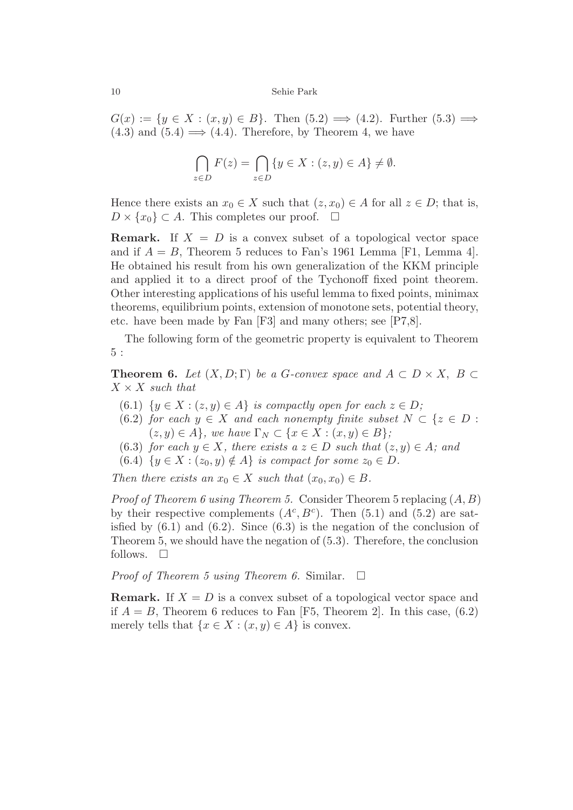$G(x) := \{y \in X : (x, y) \in B\}$ . Then  $(5.2) \implies (4.2)$ . Further  $(5.3) \implies$  $(4.3)$  and  $(5.4) \implies (4.4)$ . Therefore, by Theorem 4, we have

$$
\bigcap_{z \in D} F(z) = \bigcap_{z \in D} \{ y \in X : (z, y) \in A \} \neq \emptyset.
$$

Hence there exists an  $x_0 \in X$  such that  $(z, x_0) \in A$  for all  $z \in D$ ; that is,  $D \times \{x_0\} \subset A$ . This completes our proof.  $\square$ 

**Remark.** If  $X = D$  is a convex subset of a topological vector space and if  $A = B$ , Theorem 5 reduces to Fan's 1961 Lemma [F1, Lemma 4]. He obtained his result from his own generalization of the KKM principle and applied it to a direct proof of the Tychonoff fixed point theorem. Other interesting applications of his useful lemma to fixed points, minimax theorems, equilibrium points, extension of monotone sets, potential theory, etc. have been made by Fan [F3] and many others; see [P7,8].

The following form of the geometric property is equivalent to Theorem 5 :

**Theorem 6.** *Let*  $(X, D; \Gamma)$  *be a G*-convex space and  $A \subset D \times X$ ,  $B \subset$  $X \times X$  *such that* 

- (6.1)  $\{y \in X : (z, y) \in A\}$  *is compactly open for each*  $z \in D$ ;
- (6.2) *for each*  $y \in X$  *and each nonempty finite subset*  $N \subset \{z \in D :$  $(z, y) \in A$ , we have  $\Gamma_N \subset \{x \in X : (x, y) \in B\}$ ;
- (6.3) *for each*  $y \in X$ *, there exists a*  $z \in D$  *such that*  $(z, y) \in A$ *; and*
- (6.4)  $\{y \in X : (z_0, y) \notin A\}$  *is compact for some*  $z_0 \in D$ *.*

*Then there exists an*  $x_0 \in X$  *such that*  $(x_0, x_0) \in B$ *.* 

*Proof of Theorem 6 using Theorem 5.* Consider Theorem 5 replacing (*A, B*) by their respective complements  $(A^c, B^c)$ . Then (5.1) and (5.2) are satisfied by  $(6.1)$  and  $(6.2)$ . Since  $(6.3)$  is the negation of the conclusion of Theorem 5, we should have the negation of (5.3). Therefore, the conclusion follows.  $\square$ 

*Proof of Theorem 5 using Theorem 6.* Similar. □

**Remark.** If  $X = D$  is a convex subset of a topological vector space and if  $A = B$ , Theorem 6 reduces to Fan [F5, Theorem 2]. In this case,  $(6.2)$ merely tells that  $\{x \in X : (x, y) \in A\}$  is convex.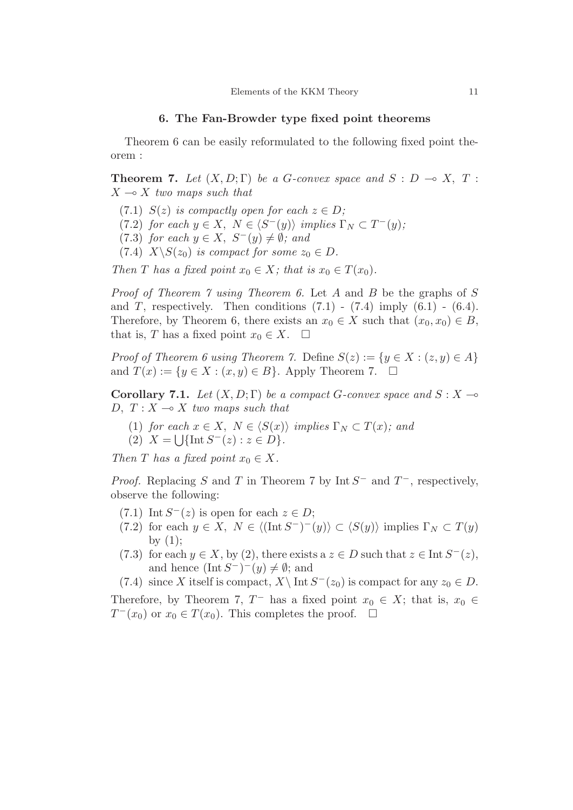## **6. The Fan-Browder type fixed point theorems**

Theorem 6 can be easily reformulated to the following fixed point theorem :

**Theorem 7.** *Let*  $(X, D; \Gamma)$  *be a G-convex space and*  $S: D \to X, T$ :  $X \rightarrow X$  *two maps such that* 

- (7.1)  $S(z)$  *is compactly open for each*  $z \in D$ ;
- $(7.2)$  *for each*  $y \in X$ ,  $N \in \langle S^-(y) \rangle$  *implies*  $\Gamma_N \subset T^-(y)$ ;
- $(7.3)$  *for each*  $y \in X$ ,  $S^-(y) \neq \emptyset$ *; and*
- (7.4)  $X \setminus S(z_0)$  *is compact for some*  $z_0 \in D$ *.*

*Then T has a fixed point*  $x_0 \in X$ *; that is*  $x_0 \in T(x_0)$ *.* 

*Proof of Theorem 7 using Theorem 6.* Let *A* and *B* be the graphs of *S* and *T*, respectively. Then conditions  $(7.1)$  -  $(7.4)$  imply  $(6.1)$  -  $(6.4)$ . Therefore, by Theorem 6, there exists an  $x_0 \in X$  such that  $(x_0, x_0) \in B$ , that is, *T* has a fixed point  $x_0 \in X$ .  $\Box$ 

*Proof of Theorem 6 using Theorem 7.* Define  $S(z) := \{y \in X : (z, y) \in A\}$ and  $T(x) := \{y \in X : (x, y) \in B\}$ . Apply Theorem 7.  $\square$ 

**Corollary 7.1.** *Let*  $(X, D; \Gamma)$  *be a compact G-convex space and*  $S: X \rightarrow \mathbb{R}$ *D*,  $T: X \rightarrow X$  *two maps such that* 

(1) *for each*  $x \in X$ ,  $N \in \langle S(x) \rangle$  *implies*  $\Gamma_N \subset T(x)$ *; and*  $(2)$   $X = \bigcup \{ \text{Int } S^{-}(z) : z \in D \}.$ 

*Then T has a fixed point*  $x_0 \in X$ *.* 

*Proof.* Replacing *S* and *T* in Theorem 7 by Int *S*<sup>−</sup> and *T*<sup>−</sup>, respectively, observe the following:

- (7.1) Int  $S^{-}(z)$  is open for each  $z \in D$ ;
- $(7.2)$  for each  $y \in X$ ,  $N \in \langle (\text{Int } S^-)^{-}(y) \rangle \subset \langle S(y) \rangle$  implies  $\Gamma_N \subset T(y)$ by  $(1);$
- (7.3) for each  $y \in X$ , by (2), there exists a  $z \in D$  such that  $z \in \text{Int } S^-(z)$ , and hence  $(\text{Int } S^-)^-(y) \neq \emptyset$ ; and

(7.4) since *X* itself is compact,  $X\setminus \text{Int } S^-(z_0)$  is compact for any  $z_0 \in D$ .

Therefore, by Theorem 7,  $T^-$  has a fixed point  $x_0 \in X$ ; that is,  $x_0 \in$ *T* −( $x_0$ ) or  $x_0 \in T(x_0)$ . This completes the proof.  $\Box$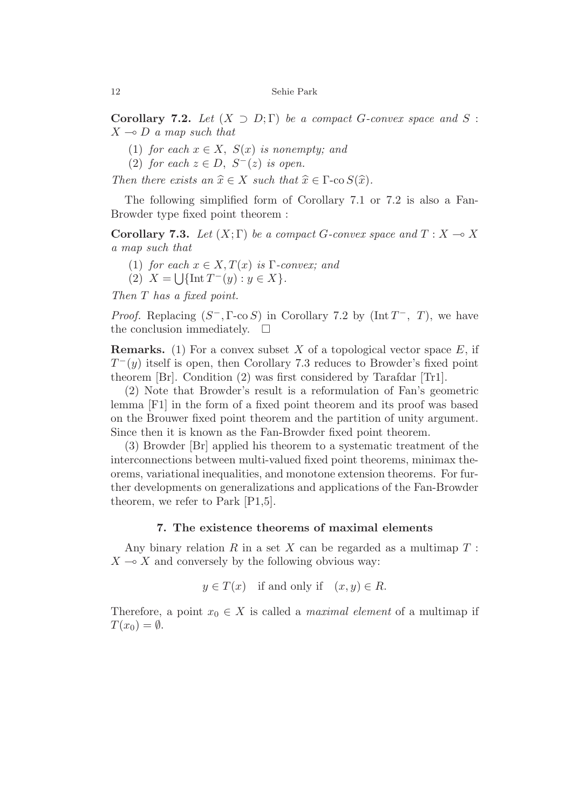**Corollary 7.2.** *Let*  $(X \supset D; \Gamma)$  *be a compact G-convex space and S* :  $X \rightarrow D$  *a map such that* 

- (1) *for each*  $x \in X$ ,  $S(x)$  *is nonempty; and*
- (2) *for each*  $z \in D$ ,  $S^{-}(z)$  *is open.*

*Then there exists an*  $\hat{x} \in X$  *such that*  $\hat{x} \in \Gamma$ -co  $S(\hat{x})$ *.* 

The following simplified form of Corollary 7.1 or 7.2 is also a Fan-Browder type fixed point theorem :

**Corollary 7.3.** Let  $(X; \Gamma)$  be a compact *G*-convex space and  $T: X \to X$ *a map such that*

- (1) *for each*  $x \in X, T(x)$  *is* Γ*-convex; and*
- $(2)$   $X = \left[ \int \left[ \ln T^{-}(y) : y \in X \right] \right]$ .

*Then T has a fixed point.*

*Proof.* Replacing  $(S^-$ , Γ-co *S*) in Corollary 7.2 by (Int  $T^-$ , *T*), we have the conclusion immediately.  $\square$ 

**Remarks.** (1) For a convex subset *X* of a topological vector space *E*, if *T* <sup>−</sup>(*y*) itself is open, then Corollary 7.3 reduces to Browder's fixed point theorem [Br]. Condition (2) was first considered by Tarafdar [Tr1].

(2) Note that Browder's result is a reformulation of Fan's geometric lemma [F1] in the form of a fixed point theorem and its proof was based on the Brouwer fixed point theorem and the partition of unity argument. Since then it is known as the Fan-Browder fixed point theorem.

(3) Browder [Br] applied his theorem to a systematic treatment of the interconnections between multi-valued fixed point theorems, minimax theorems, variational inequalities, and monotone extension theorems. For further developments on generalizations and applications of the Fan-Browder theorem, we refer to Park [P1,5].

# **7. The existence theorems of maximal elements**

Any binary relation *R* in a set *X* can be regarded as a multimap *T* :  $X \rightarrow X$  and conversely by the following obvious way:

 $y \in T(x)$  if and only if  $(x, y) \in R$ .

Therefore, a point  $x_0 \in X$  is called a *maximal element* of a multimap if  $T(x_0) = \emptyset$ .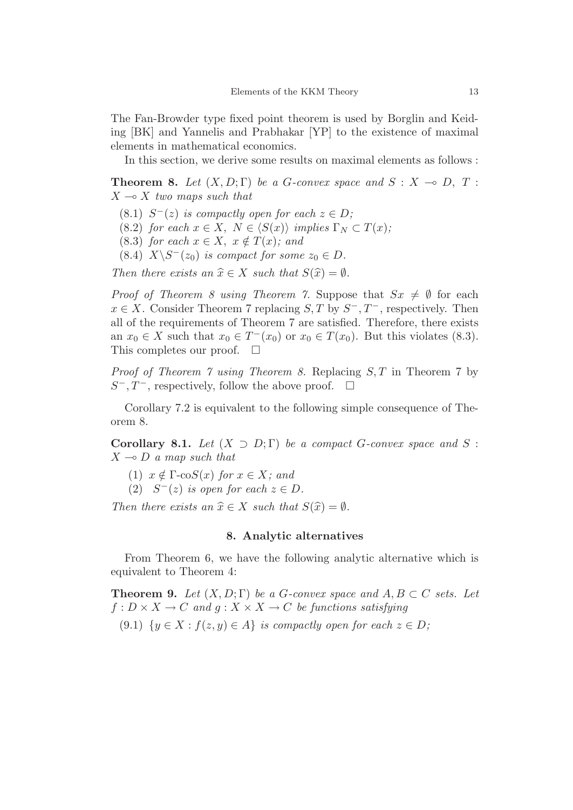The Fan-Browder type fixed point theorem is used by Borglin and Keiding [BK] and Yannelis and Prabhakar [YP] to the existence of maximal elements in mathematical economics.

In this section, we derive some results on maximal elements as follows :

**Theorem 8.** *Let*  $(X, D; \Gamma)$  *be a G-convex space and*  $S: X \to D, T$ :  $X \rightarrow X$  *two maps such that* 

- $(S.1)$   $S^{-}(z)$  *is compactly open for each*  $z \in D$ ;
- (8.2) *for each*  $x \in X$ ,  $N \in \langle S(x) \rangle$  *implies*  $\Gamma_N \subset T(x)$ ;
- $(8.3)$  *for each*  $x \in X$ ,  $x \notin T(x)$ *; and*
- (8.4)  $X \setminus S^{-}(z_0)$  *is compact for some*  $z_0 \in D$ *.*

*Then there exists an*  $\hat{x} \in X$  *such that*  $S(\hat{x}) = \emptyset$ *.* 

*Proof of Theorem 8 using Theorem 7.* Suppose that  $S_x \neq \emptyset$  for each  $x \in X$ . Consider Theorem 7 replacing *S*, *T* by  $S^-$ ,  $T^-$ , respectively. Then all of the requirements of Theorem 7 are satisfied. Therefore, there exists an  $x_0 \in X$  such that  $x_0 \in T^-(x_0)$  or  $x_0 \in T(x_0)$ . But this violates (8.3). This completes our proof.  $\square$ 

*Proof of Theorem 7 using Theorem 8.* Replacing *S, T* in Theorem 7 by *S*<sup>−</sup>, *T*<sup>−</sup>, respectively, follow the above proof. □

Corollary 7.2 is equivalent to the following simple consequence of Theorem 8.

**Corollary 8.1.** *Let*  $(X \supset D; \Gamma)$  *be a compact G-convex space and S* :  $X \rightarrow D$  *a map such that* 

- (1)  $x \notin \Gamma$ -co $S(x)$  *for*  $x \in X$ *; and*
- (2)  $S<sup>−</sup>(z)$  *is open for each*  $z \in D$ *.*

*Then there exists an*  $\hat{x} \in X$  *such that*  $S(\hat{x}) = \emptyset$ *.* 

## **8. Analytic alternatives**

From Theorem 6, we have the following analytic alternative which is equivalent to Theorem 4:

**Theorem 9.** *Let*  $(X, D; \Gamma)$  *be a G-convex space and*  $A, B \subset C$  *sets. Let*  $f: D \times X \to C$  *and*  $q: X \times X \to C$  *be functions satisfying* (9.1)  $\{y \in X : f(z, y) \in A\}$  *is compactly open for each*  $z \in D$ ;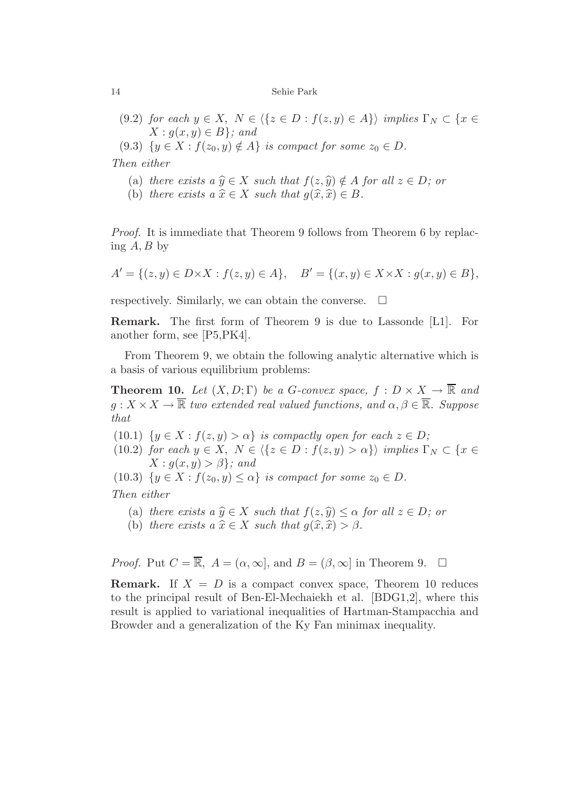- (9.2) *for each*  $y \in X$ ,  $N \in \{z \in D : f(z, y) \in A\}$  *implies*  $\Gamma_N \subset \{x \in D : f(z, y) \in A\}$  $X: g(x, y) \in B$ *};* and
- $(9.3) \{y \in X : f(z_0, y) \notin A\}$  *is compact for some*  $z_0 \in D$ *.*

*Then either*

- (a) *there exists a*  $\hat{y} \in X$  *such that*  $f(z, \hat{y}) \notin A$  *for all*  $z \in D$ *; or*
- (b) *there exists*  $a \hat{x} \in X$  *such that*  $q(\hat{x}, \hat{x}) \in B$ *.*

*Proof.* It is immediate that Theorem 9 follows from Theorem 6 by replacing *A, B* by

$$
A' = \{(z, y) \in D \times X : f(z, y) \in A\}, \quad B' = \{(x, y) \in X \times X : g(x, y) \in B\},\
$$

respectively. Similarly, we can obtain the converse.  $\Box$ 

**Remark.** The first form of Theorem 9 is due to Lassonde [L1]. For another form, see [P5,PK4].

From Theorem 9, we obtain the following analytic alternative which is a basis of various equilibrium problems:

**Theorem 10.** *Let*  $(X, D; \Gamma)$  *be a G-convex space,*  $f : D \times X \to \overline{\mathbb{R}}$  *and*  $g: X \times X \to \overline{\mathbb{R}}$  *two extended real valued functions, and*  $\alpha, \beta \in \overline{\mathbb{R}}$ *. Suppose that*

- (10.1)  $\{y \in X : f(z, y) > \alpha\}$  *is compactly open for each*  $z \in D$ ;
- (10.2) *for each*  $y \in X$ ,  $N \in \{ \{ z \in D : f(z, y) > \alpha \} \}$  *implies*  $\Gamma_N \subset \{ x \in$  $X: g(x, y) > \beta$ *;* and
- (10.3)  $\{y \in X : f(z_0, y) \leq \alpha\}$  *is compact for some*  $z_0 \in D$ *.*

*Then either*

- (a) *there exists a*  $\hat{y} \in X$  *such that*  $f(z, \hat{y}) \leq \alpha$  *for all*  $z \in D$ *; or*
- (b) *there exists*  $a \hat{x} \in X$  *such that*  $q(\hat{x}, \hat{x}) > \beta$ *.*

*Proof.* Put  $C = \overline{\mathbb{R}}$ ,  $A = (\alpha, \infty)$ , and  $B = (\beta, \infty)$  in Theorem 9.  $\Box$ 

**Remark.** If  $X = D$  is a compact convex space, Theorem 10 reduces to the principal result of Ben-El-Mechaiekh et al. [BDG1,2], where this result is applied to variational inequalities of Hartman-Stampacchia and Browder and a generalization of the Ky Fan minimax inequality.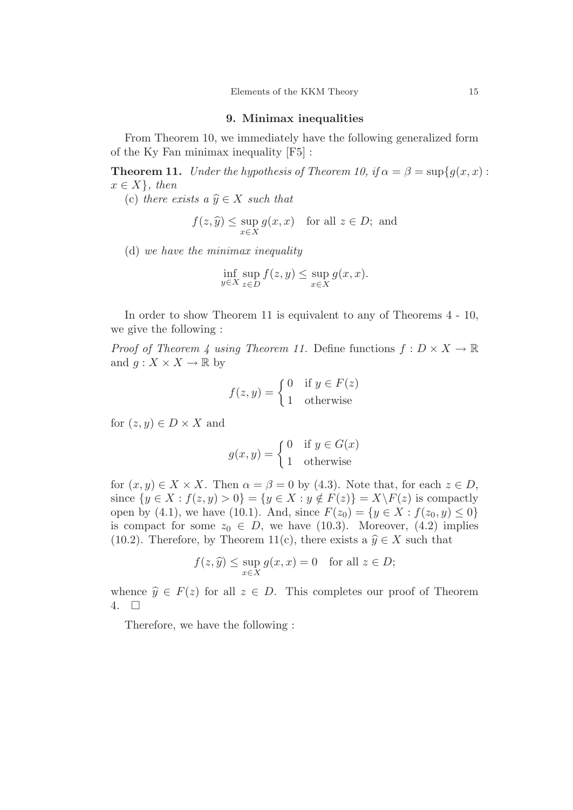## **9. Minimax inequalities**

From Theorem 10, we immediately have the following generalized form of the Ky Fan minimax inequality [F5] :

**Theorem 11.** *Under the hypothesis of Theorem 10, if*  $\alpha = \beta = \sup\{g(x, x) :$  $x \in X$ *}, then* 

(c) *there exists a*  $\hat{y} \in X$  *such that* 

$$
f(z, \hat{y}) \le \sup_{x \in X} g(x, x)
$$
 for all  $z \in D$ ; and

(d) *we have the minimax inequality*

$$
\inf_{y \in X} \sup_{z \in D} f(z, y) \le \sup_{x \in X} g(x, x).
$$

In order to show Theorem 11 is equivalent to any of Theorems 4 - 10, we give the following :

*Proof of Theorem 4 using Theorem 11.* Define functions  $f: D \times X \to \mathbb{R}$ and  $g: X \times X \to \mathbb{R}$  by

$$
f(z, y) = \begin{cases} 0 & \text{if } y \in F(z) \\ 1 & \text{otherwise} \end{cases}
$$

for  $(z, y) \in D \times X$  and

$$
g(x, y) = \begin{cases} 0 & \text{if } y \in G(x) \\ 1 & \text{otherwise} \end{cases}
$$

for  $(x, y) \in X \times X$ . Then  $\alpha = \beta = 0$  by (4.3). Note that, for each  $z \in D$ , since  $\{y \in X : f(z, y) > 0\} = \{y \in X : y \notin F(z)\} = X\backslash F(z)$  is compactly open by (4.1), we have (10.1). And, since  $F(z_0) = \{y \in X : f(z_0, y) \le 0\}$ is compact for some  $z_0 \in D$ , we have (10.3). Moreover, (4.2) implies (10.2). Therefore, by Theorem 11(c), there exists a  $\hat{y} \in X$  such that

$$
f(z, \hat{y}) \le \sup_{x \in X} g(x, x) = 0 \quad \text{for all } z \in D;
$$

whence  $\hat{y} \in F(z)$  for all  $z \in D$ . This completes our proof of Theorem 4.  $\Box$ 

Therefore, we have the following :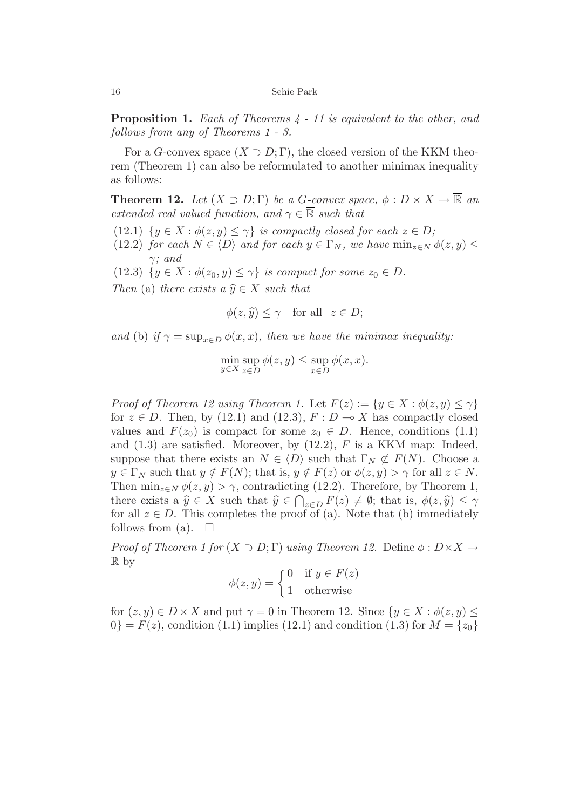**Proposition 1.** *Each of Theorems 4 - 11 is equivalent to the other, and follows from any of Theorems 1 - 3.*

For a *G*-convex space  $(X \supset D; \Gamma)$ , the closed version of the KKM theorem (Theorem 1) can also be reformulated to another minimax inequality as follows:

**Theorem 12.** *Let*  $(X \supset D; \Gamma)$  *be a G-convex space,*  $\phi : D \times X \to \overline{\mathbb{R}}$  *an extended real valued function, and*  $\gamma \in \mathbb{R}$  *such that* 

- (12.1)  $\{y \in X : \phi(z, y) \leq \gamma\}$  *is compactly closed for each*  $z \in D$ ;
- $(12.2)$  *for each*  $N \in \langle D \rangle$  *and for each*  $y \in \Gamma_N$ *, we have*  $\min_{z \in N} \phi(z, y) \leq$ *γ; and*
- (12.3)  $\{y \in X : \phi(z_0, y) \leq \gamma\}$  *is compact for some*  $z_0 \in D$ *.*
- *Then* (a) *there exists a*  $\hat{y} \in X$  *such that*

$$
\phi(z,\widehat{y}) \le \gamma \quad \text{for all} \ \ z \in D;
$$

*and* (b) *if*  $\gamma = \sup_{x \in D} \phi(x, x)$ *, then we have the minimax inequality:* 

$$
\min_{y \in X} \sup_{z \in D} \phi(z, y) \le \sup_{x \in D} \phi(x, x).
$$

*Proof of Theorem 12 using Theorem 1.* Let  $F(z) := \{y \in X : \phi(z, y) \leq \gamma\}$ for  $z \in D$ . Then, by (12.1) and (12.3),  $F: D \to X$  has compactly closed values and  $F(z_0)$  is compact for some  $z_0 \in D$ . Hence, conditions (1.1) and (1.3) are satisfied. Moreover, by (12.2), *F* is a KKM map: Indeed, suppose that there exists an  $N \in \langle D \rangle$  such that  $\Gamma_N \not\subset F(N)$ . Choose a  $y \in \Gamma_N$  such that  $y \notin F(N)$ ; that is,  $y \notin F(z)$  or  $\phi(z, y) > \gamma$  for all  $z \in N$ . Then  $\min_{z \in N} \phi(z, y) > \gamma$ , contradicting (12.2). Therefore, by Theorem 1, there exists a  $\hat{y} \in X$  such that  $\hat{y} \in \bigcap_{z \in D} F(z) \neq \emptyset$ ; that is,  $\phi(z, \hat{y}) \leq \gamma$ for all  $z \in D$ . This completes the proof of (a). Note that (b) immediately follows from (a).  $\square$ 

*Proof of Theorem 1 for*  $(X \supset D; \Gamma)$  *using Theorem 12.* Define  $\phi : D \times X \rightarrow$ R by

$$
\phi(z, y) = \begin{cases} 0 & \text{if } y \in F(z) \\ 1 & \text{otherwise} \end{cases}
$$

for  $(z, y) \in D \times X$  and put  $\gamma = 0$  in Theorem 12. Since  $\{y \in X : \phi(z, y) \leq \gamma \}$  $0$ } =  $F(z)$ , condition (1.1) implies (12.1) and condition (1.3) for  $M = \{z_0\}$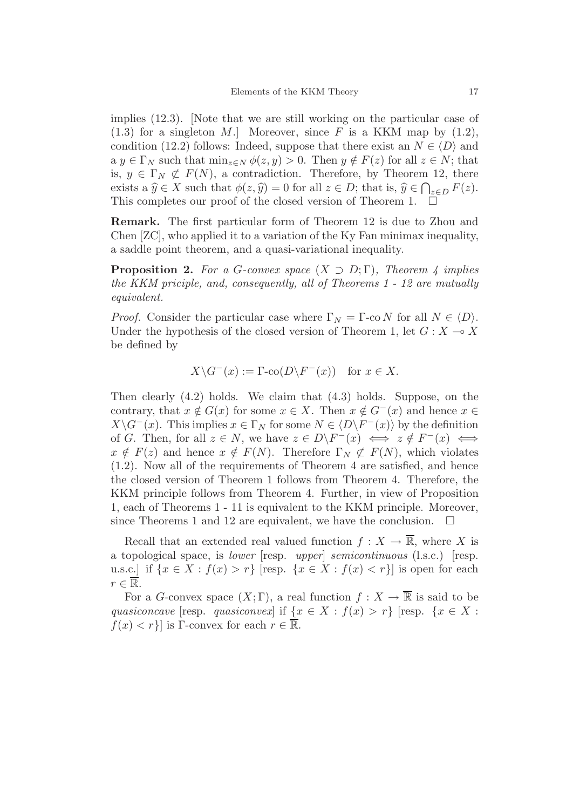implies (12.3). [Note that we are still working on the particular case of  $(1.3)$  for a singleton M. Moreover, since F is a KKM map by  $(1.2)$ , condition (12.2) follows: Indeed, suppose that there exist an  $N \in \langle D \rangle$  and  $a \ y \in \Gamma_N$  such that  $\min_{z \in N} \phi(z, y) > 0$ . Then  $y \notin F(z)$  for all  $z \in N$ ; that is,  $y \in \Gamma_N \not\subset F(N)$ , a contradiction. Therefore, by Theorem 12, there exists a  $\hat{y} \in X$  such that  $\phi(z, \hat{y}) = 0$  for all  $z \in D$ ; that is,  $\hat{y} \in \bigcap_{z \in D} F(z)$ . This completes our proof of the closed version of Theorem 1.  $\Box$ 

**Remark.** The first particular form of Theorem 12 is due to Zhou and Chen [ZC], who applied it to a variation of the Ky Fan minimax inequality, a saddle point theorem, and a quasi-variational inequality.

**Proposition 2.** For a *G*-convex space  $(X \supset D; \Gamma)$ , Theorem 4 implies *the KKM priciple, and, consequently, all of Theorems 1 - 12 are mutually equivalent.*

*Proof.* Consider the particular case where  $\Gamma_N = \Gamma$ -co *N* for all  $N \in \langle D \rangle$ . Under the hypothesis of the closed version of Theorem 1, let  $G: X \rightarrow X$ be defined by

$$
X \backslash G^{-}(x) := \Gamma \text{-co}(D \backslash F^{-}(x)) \text{ for } x \in X.
$$

Then clearly (4.2) holds. We claim that (4.3) holds. Suppose, on the contrary, that  $x \notin G(x)$  for some  $x \in X$ . Then  $x \notin G^{-}(x)$  and hence  $x \in$  $X\backslash G^{-}(x)$ . This implies  $x \in \Gamma_N$  for some  $N \in \langle D \backslash F^{-}(x) \rangle$  by the definition of *G*. Then, for all  $z \in N$ , we have  $z \in D\backslash F^{-}(x) \iff z \notin F^{-}(x) \iff$  $x \notin F(z)$  and hence  $x \notin F(N)$ . Therefore  $\Gamma_N \not\subset F(N)$ , which violates (1.2). Now all of the requirements of Theorem 4 are satisfied, and hence the closed version of Theorem 1 follows from Theorem 4. Therefore, the KKM principle follows from Theorem 4. Further, in view of Proposition 1, each of Theorems 1 - 11 is equivalent to the KKM principle. Moreover, since Theorems 1 and 12 are equivalent, we have the conclusion.  $\Box$ 

Recall that an extended real valued function  $f: X \to \overline{\mathbb{R}}$ , where X is a topological space, is *lower* [resp. *upper*] *semicontinuous* (l.s.c.) [resp. u.s.c.] if  $\{x \in X : f(x) > r\}$  [resp.  $\{x \in X : f(x) < r\}$ ] is open for each  $r \in \overline{\mathbb{R}}$ .

For a *G*-convex space  $(X;\Gamma)$ , a real function  $f: X \to \overline{\mathbb{R}}$  is said to be *quasiconcave* [resp. *quasiconvex*] if  $\{x \in X : f(x) > r\}$  [resp.  $\{x \in X : f(x) > r\}$ ]  $f(x) < r$ } is Γ-convex for each  $r \in \overline{\mathbb{R}}$ .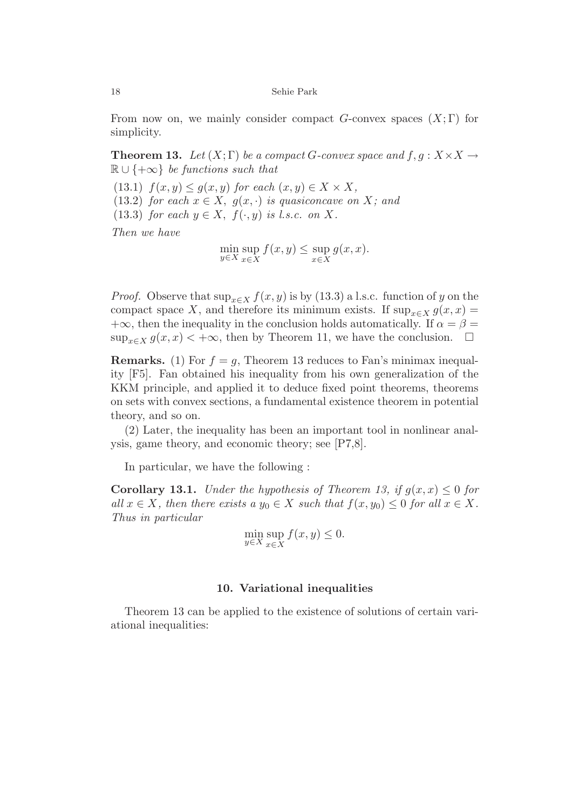From now on, we mainly consider compact *G*-convex spaces (*X*; Γ) for simplicity.

**Theorem 13.** *Let*  $(X; \Gamma)$  *be a compact G-convex space and*  $f, g: X \times X \rightarrow$ R ∪ {+∞} *be functions such that*

 $(13.1)$   $f(x, y) \leq g(x, y)$  *for each*  $(x, y) \in X \times X$ ,

(13.2) *for each*  $x \in X$ ,  $g(x, \cdot)$  *is quasiconcave on X;* and

(13.3) *for each*  $y \in X$ ,  $f(\cdot, y)$  *is l.s.c. on* X.

*Then we have*

$$
\min_{y \in X} \sup_{x \in X} f(x, y) \le \sup_{x \in X} g(x, x).
$$

*Proof.* Observe that  $\sup_{x \in X} f(x, y)$  is by (13.3) a l.s.c. function of *y* on the compact space *X*, and therefore its minimum exists. If  $\sup_{x \in X} g(x, x) =$  $+\infty$ , then the inequality in the conclusion holds automatically. If  $\alpha = \beta =$  $\sup_{x \in X} g(x, x) < +\infty$ , then by Theorem 11, we have the conclusion.  $\square$ 

**Remarks.** (1) For  $f = g$ , Theorem 13 reduces to Fan's minimax inequality [F5]. Fan obtained his inequality from his own generalization of the KKM principle, and applied it to deduce fixed point theorems, theorems on sets with convex sections, a fundamental existence theorem in potential theory, and so on.

(2) Later, the inequality has been an important tool in nonlinear analysis, game theory, and economic theory; see [P7,8].

In particular, we have the following :

**Corollary 13.1.** *Under the hypothesis of Theorem 13, if*  $q(x, x) \leq 0$  *for all*  $x \in X$ *, then there exists a*  $y_0 \in X$  *such that*  $f(x, y_0) \leq 0$  *for all*  $x \in X$ *. Thus in particular*

$$
\min_{y \in X} \sup_{x \in X} f(x, y) \le 0.
$$

# **10. Variational inequalities**

Theorem 13 can be applied to the existence of solutions of certain variational inequalities: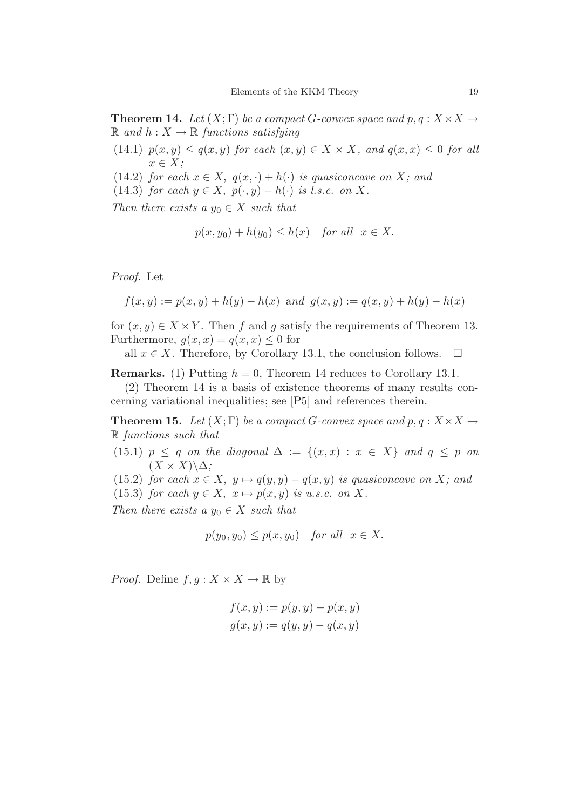**Theorem 14.** Let  $(X;\Gamma)$  be a compact *G*-convex space and  $p, q: X \times X \rightarrow$  $\mathbb{R}$  *and*  $h: X \to \mathbb{R}$  *functions satisfying* 

- $(14.1)$   $p(x, y) \leq q(x, y)$  *for each*  $(x, y) \in X \times X$ *, and*  $q(x, x) \leq 0$  *for all x* ∈ *X;*
- (14.2) *for each*  $x \in X$ ,  $q(x, \cdot) + h(\cdot)$  *is quasiconcave on X;* and
- (14.3) *for each*  $y \in X$ ,  $p(\cdot, y) h(\cdot)$  *is l.s.c. on* X.

*Then there exists a*  $y_0 \in X$  *such that* 

$$
p(x, y_0) + h(y_0) \le h(x) \quad \text{for all} \ \ x \in X.
$$

*Proof.* Let

$$
f(x, y) := p(x, y) + h(y) - h(x)
$$
 and  $g(x, y) := q(x, y) + h(y) - h(x)$ 

for  $(x, y) \in X \times Y$ . Then *f* and *g* satisfy the requirements of Theorem 13. Furthermore,  $g(x, x) = q(x, x) \leq 0$  for

all  $x \in X$ . Therefore, by Corollary 13.1, the conclusion follows.  $\Box$ 

**Remarks.** (1) Putting  $h = 0$ , Theorem 14 reduces to Corollary 13.1.

(2) Theorem 14 is a basis of existence theorems of many results concerning variational inequalities; see [P5] and references therein.

**Theorem 15.** Let  $(X;\Gamma)$  be a compact *G*-convex space and  $p, q: X \times X \rightarrow$ R *functions such that*

(15.1)  $p \leq q$  *on the diagonal*  $\Delta := \{(x, x) : x \in X\}$  *and*  $q \leq p$  *on*  $(X \times X)\Delta$ ;

(15.2) *for each*  $x \in X$ ,  $y \mapsto q(y, y) - q(x, y)$  *is quasiconcave on X;* and (15.3) *for each*  $y \in X$ ,  $x \mapsto p(x, y)$  *is u.s.c. on X.* 

*Then there exists a*  $y_0 \in X$  *such that* 

$$
p(y_0, y_0) \le p(x, y_0) \quad for all \quad x \in X.
$$

*Proof.* Define  $f, g: X \times X \to \mathbb{R}$  by

$$
f(x, y) := p(y, y) - p(x, y)
$$
  

$$
g(x, y) := q(y, y) - q(x, y)
$$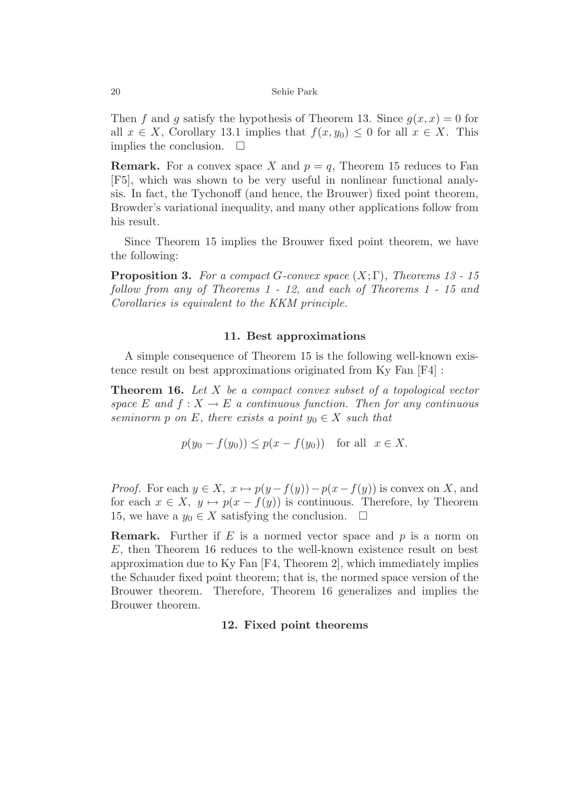Then *f* and *g* satisfy the hypothesis of Theorem 13. Since  $g(x, x) = 0$  for all  $x \in X$ , Corollary 13.1 implies that  $f(x, y_0) \leq 0$  for all  $x \in X$ . This implies the conclusion.  $\square$ 

**Remark.** For a convex space X and  $p = q$ , Theorem 15 reduces to Fan [F5], which was shown to be very useful in nonlinear functional analysis. In fact, the Tychonoff (and hence, the Brouwer) fixed point theorem, Browder's variational inequality, and many other applications follow from his result.

Since Theorem 15 implies the Brouwer fixed point theorem, we have the following:

**Proposition 3.** *For a compact G-convex space* (*X*; Γ)*, Theorems 13 - 15 follow from any of Theorems 1 - 12, and each of Theorems 1 - 15 and Corollaries is equivalent to the KKM principle.*

## **11. Best approximations**

A simple consequence of Theorem 15 is the following well-known existence result on best approximations originated from Ky Fan [F4] :

**Theorem 16.** *Let X be a compact convex subset of a topological vector space*  $E$  *and*  $f: X \to E$  *a continuous function. Then for any continuous seminorm p on E, there exists* a *point*  $y_0 \in X$  *such that* 

$$
p(y_0 - f(y_0)) \le p(x - f(y_0))
$$
 for all  $x \in X$ .

*Proof.* For each  $y \in X$ ,  $x \mapsto p(y - f(y)) - p(x - f(y))$  is convex on X, and for each  $x \in X$ ,  $y \mapsto p(x - f(y))$  is continuous. Therefore, by Theorem 15, we have a  $y_0$  ∈ *X* satisfying the conclusion.  $\Box$ 

**Remark.** Further if *E* is a normed vector space and *p* is a norm on *E*, then Theorem 16 reduces to the well-known existence result on best approximation due to Ky Fan [F4, Theorem 2], which immediately implies the Schauder fixed point theorem; that is, the normed space version of the Brouwer theorem. Therefore, Theorem 16 generalizes and implies the Brouwer theorem.

# **12. Fixed point theorems**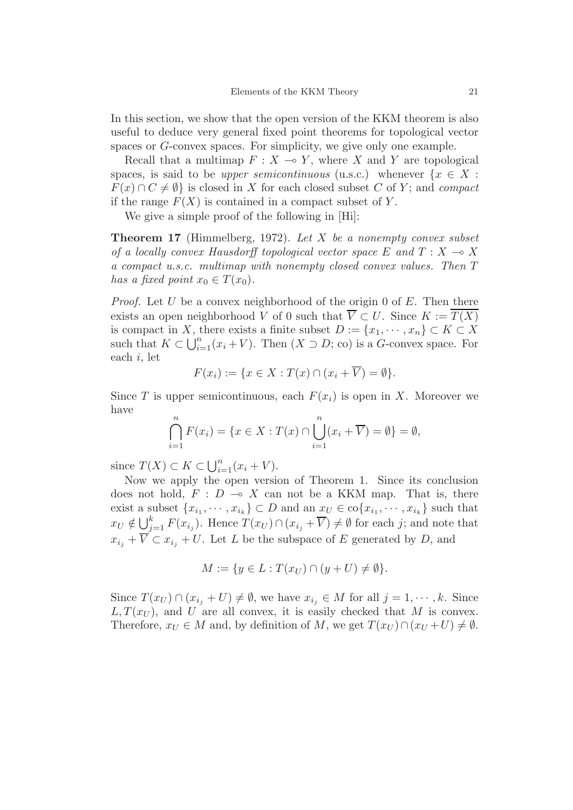In this section, we show that the open version of the KKM theorem is also useful to deduce very general fixed point theorems for topological vector spaces or *G*-convex spaces. For simplicity, we give only one example.

Recall that a multimap  $F: X \to Y$ , where *X* and *Y* are topological spaces, is said to be *upper semicontinuous* (u.s.c.) whenever  $\{x \in X:$  $F(x) \cap C \neq \emptyset$  is closed in *X* for each closed subset *C* of *Y*; and *compact* if the range  $F(X)$  is contained in a compact subset of Y.

We give a simple proof of the following in [Hi]:

**Theorem 17** (Himmelberg, 1972). *Let X be a nonempty convex subset of a locally convex Hausdorff topological vector space*  $E$  and  $T : X \rightarrow X$ *a compact u.s.c. multimap with nonempty closed convex values. Then T has a fixed point*  $x_0 \in T(x_0)$ .

*Proof.* Let *U* be a convex neighborhood of the origin 0 of *E*. Then there exists an open neighborhood *V* of 0 such that  $\overline{V} \subset U$ . Since  $K := \overline{T(X)}$ is compact in *X*, there exists a finite subset  $D := \{x_1, \dots, x_n\} \subset K \subset X$ such that  $K \subset \bigcup_{i=1}^{n} (x_i + V)$ . Then  $(X \supset D; \text{co})$  is a *G*-convex space. For each *i*, let

$$
F(x_i) := \{ x \in X : T(x) \cap (x_i + \overline{V}) = \emptyset \}.
$$

Since *T* is upper semicontinuous, each  $F(x_i)$  is open in *X*. Moreover we have

$$
\bigcap_{i=1}^{n} F(x_i) = \{ x \in X : T(x) \cap \bigcup_{i=1}^{n} (x_i + \overline{V}) = \emptyset \} = \emptyset,
$$

since  $T(X) \subset K \subset \bigcup_{i=1}^{n} (x_i + V)$ .

Now we apply the open version of Theorem 1. Since its conclusion does not hold,  $F : D \multimap X$  can not be a KKM map. That is, there exist a subset  $\{x_{i_1}, \dots, x_{i_k}\} \subset D$  and an  $x_U \in \text{co}\{x_{i_1}, \dots, x_{i_k}\}$  such that  $x_U \notin \bigcup_{j=1}^k F(x_{i_j})$ . Hence  $T(x_U) \cap (x_{i_j} + \overline{V}) \neq \emptyset$  for each *j*; and note that  $x_{i_j} + \overline{V} \subset x_{i_j} + U$ . Let *L* be the subspace of *E* generated by *D*, and

$$
M := \{ y \in L : T(x_U) \cap (y + U) \neq \emptyset \}.
$$

Since  $T(x_U) \cap (x_{i_j} + U) \neq \emptyset$ , we have  $x_{i_j} \in M$  for all  $j = 1, \dots, k$ . Since  $L, T(x_U)$ , and *U* are all convex, it is easily checked that *M* is convex. Therefore,  $x_U \in M$  and, by definition of M, we get  $T(x_U) \cap (x_U + U) \neq \emptyset$ .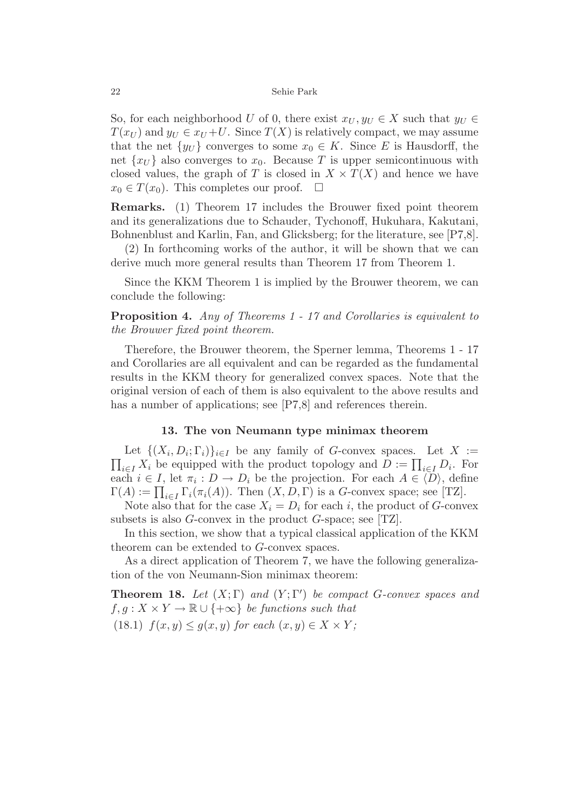So, for each neighborhood *U* of 0, there exist  $x_U, y_U \in X$  such that  $y_U \in X$  $T(x_U)$  and  $y_U \in x_U + U$ . Since  $T(X)$  is relatively compact, we may assume that the net  $\{y_U\}$  converges to some  $x_0 \in K$ . Since *E* is Hausdorff, the net  $\{x_U\}$  also converges to  $x_0$ . Because T is upper semicontinuous with closed values, the graph of *T* is closed in  $X \times T(X)$  and hence we have  $x_0 \in T(x_0)$ . This completes our proof.  $\Box$ 

**Remarks.** (1) Theorem 17 includes the Brouwer fixed point theorem and its generalizations due to Schauder, Tychonoff, Hukuhara, Kakutani, Bohnenblust and Karlin, Fan, and Glicksberg; for the literature, see [P7,8].

(2) In forthcoming works of the author, it will be shown that we can derive much more general results than Theorem 17 from Theorem 1.

Since the KKM Theorem 1 is implied by the Brouwer theorem, we can conclude the following:

**Proposition 4.** *Any of Theorems 1 - 17 and Corollaries is equivalent to the Brouwer fixed point theorem.*

Therefore, the Brouwer theorem, the Sperner lemma, Theorems 1 - 17 and Corollaries are all equivalent and can be regarded as the fundamental results in the KKM theory for generalized convex spaces. Note that the original version of each of them is also equivalent to the above results and has a number of applications; see [P7,8] and references therein.

## **13. The von Neumann type minimax theorem**

Let  $\{(X_i, D_i; \Gamma_i)\}_{i \in I}$  be any family of *G*-convex spaces. Let  $X :=$  $\prod_{i \in I} X_i$  be equipped with the product topology and  $D := \prod_{i \in I} D_i$ . For each  $i \in I$ , let  $\pi_i : D \to D_i$  be the projection. For each  $A \in \langle D \rangle$ , define  $\Gamma(A) := \prod_{i \in I} \Gamma_i(\pi_i(A)).$  Then  $(X, D, \Gamma)$  is a *G*-convex space; see [TZ].

Note also that for the case  $X_i = D_i$  for each *i*, the product of *G*-convex subsets is also *G*-convex in the product *G*-space; see [TZ].

In this section, we show that a typical classical application of the KKM theorem can be extended to *G*-convex spaces.

As a direct application of Theorem 7, we have the following generalization of the von Neumann-Sion minimax theorem:

**Theorem 18.** *Let*  $(X; \Gamma)$  *and*  $(Y; \Gamma')$  *be compact G-convex spaces and*  $f, g: X \times Y \to \mathbb{R} \cup \{+\infty\}$  *be functions such that* (18.1)  $f(x, y) \leq g(x, y)$  *for each*  $(x, y) \in X \times Y$ ;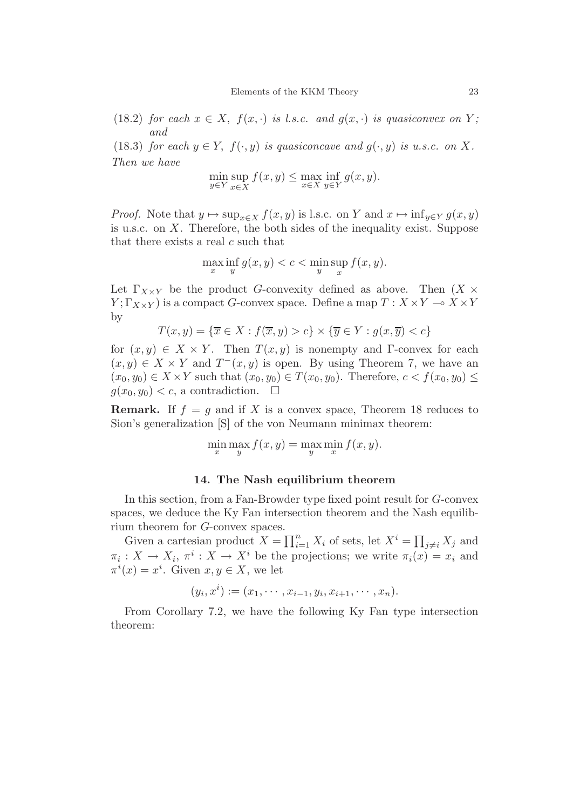(18.2) *for each*  $x \in X$ ,  $f(x, \cdot)$  *is l.s.c. and*  $g(x, \cdot)$  *is quasiconvex on Y*; *and*

(18.3) *for each*  $y \in Y$ ,  $f(\cdot, y)$  *is quasiconcave and*  $g(\cdot, y)$  *is u.s.c. on* X. *Then we have*

$$
\min_{y \in Y} \sup_{x \in X} f(x, y) \le \max_{x \in X} \inf_{y \in Y} g(x, y).
$$

*Proof.* Note that  $y \mapsto \sup_{x \in X} f(x, y)$  is l.s.c. on *Y* and  $x \mapsto \inf_{y \in Y} g(x, y)$ is u.s.c. on *X*. Therefore, the both sides of the inequality exist. Suppose that there exists a real *c* such that

$$
\max_{x} \inf_{y} g(x, y) < c < \min_{y} \sup_{x} f(x, y).
$$

Let  $\Gamma_{X\times Y}$  be the product *G*-convexity defined as above. Then  $(X \times$ *Y*;  $\Gamma_{X\times Y}$ ) is a compact *G*-convex space. Define a map  $T: X \times Y \to X \times Y$ by

$$
T(x, y) = \{ \overline{x} \in X : f(\overline{x}, y) > c \} \times \{ \overline{y} \in Y : g(x, \overline{y}) < c \}
$$

for  $(x, y) \in X \times Y$ . Then  $T(x, y)$  is nonempty and Γ-convex for each  $(x, y) \in X \times Y$  and  $T^-(x, y)$  is open. By using Theorem 7, we have an  $(x_0, y_0) \in X \times Y$  such that  $(x_0, y_0) \in T(x_0, y_0)$ . Therefore,  $c < f(x_0, y_0) \leq$  $g(x_0, y_0) < c$ , a contradiction.  $\Box$ 

**Remark.** If  $f = g$  and if *X* is a convex space, Theorem 18 reduces to Sion's generalization [S] of the von Neumann minimax theorem:

$$
\min_x \max_y f(x, y) = \max_y \min_x f(x, y).
$$

## **14. The Nash equilibrium theorem**

In this section, from a Fan-Browder type fixed point result for *G*-convex spaces, we deduce the Ky Fan intersection theorem and the Nash equilibrium theorem for *G*-convex spaces.

Given a cartesian product  $X = \prod_{i=1}^{n} X_i$  of sets, let  $X^i = \prod_{j \neq i} X_j$  and  $\pi_i: X \to X_i$ ,  $\pi^i: X \to X^i$  be the projections; we write  $\pi_i(x) = x_i$  and  $\pi^{i}(x) = x^{i}$ . Given  $x, y \in X$ , we let

$$
(y_i, x^i) := (x_1, \dots, x_{i-1}, y_i, x_{i+1}, \dots, x_n).
$$

From Corollary 7.2, we have the following Ky Fan type intersection theorem: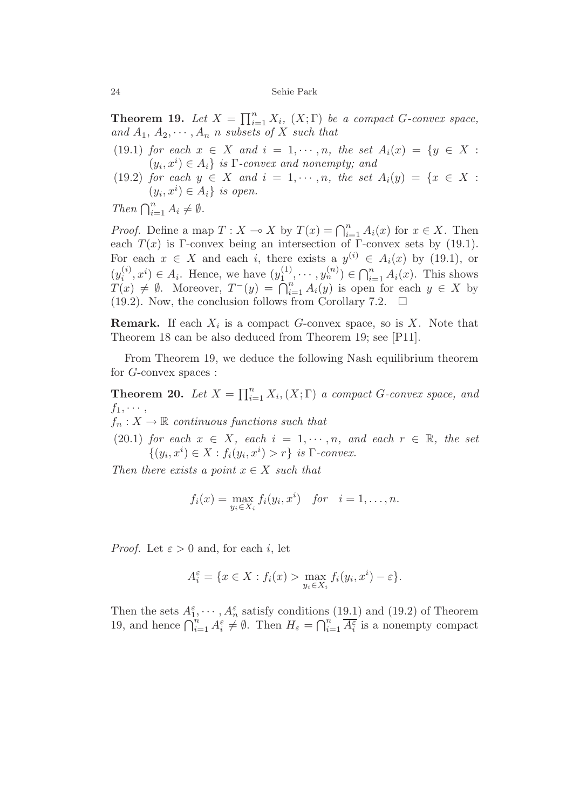**Theorem 19.** *Let*  $X = \prod_{i=1}^{n} X_i$ ,  $(X;\Gamma)$  *be a compact G-convex space*, and  $A_1, A_2, \cdots, A_n$  *n subsets of X such that* 

(19.1) *for each*  $x \in X$  *and*  $i = 1, \dots, n$ *, the set*  $A_i(x) = \{y \in X :$  $(y_i, x^i) \in A_i$  *is* Γ*-convex and nonempty; and* 

(19.2) *for each*  $y \in X$  *and*  $i = 1, \dots, n$ *, the set*  $A_i(y) = \{x \in X :$  $(y_i, x^i) \in A_i$  *is open.* 

*Then*  $\bigcap_{i=1}^{n} A_i \neq \emptyset$ *.* 

*Proof.* Define a map  $T: X \to X$  by  $T(x) = \bigcap_{i=1}^{n} A_i(x)$  for  $x \in X$ . Then each  $T(x)$  is Γ-convex being an intersection of Γ-convex sets by (19.1). For each  $x \in X$  and each *i*, there exists a  $y^{(i)} \in A_i(x)$  by (19.1), or  $(y_i^{(i)}, x^i) \in A_i$ . Hence, we have  $(y_1^{(1)}, \dots, y_n^{(n)}) \in \bigcap_{i=1}^n A_i(x)$ . This shows  $T(x) \neq \emptyset$ . Moreover,  $T^{-}(y) = \bigcap_{i=1}^{n} A_i(y)$  is open for each  $y \in X$  by (19.2). Now, the conclusion follows from Corollary 7.2.  $\Box$ 

**Remark.** If each *X<sup>i</sup>* is a compact *G*-convex space, so is *X*. Note that Theorem 18 can be also deduced from Theorem 19; see [P11].

From Theorem 19, we deduce the following Nash equilibrium theorem for *G*-convex spaces :

**Theorem 20.** *Let*  $X = \prod_{i=1}^{n} X_i$ ,  $(X;\Gamma)$  *a compact G-convex space, and*  $f_1, \cdots,$ 

 $f_n: X \to \mathbb{R}$  *continuous functions such that* 

(20.1) *for each*  $x \in X$ *, each*  $i = 1, \dots, n$ *, and each*  $r \in \mathbb{R}$ *, the set*  $\{(y_i, x^i) \in X : f_i(y_i, x^i) > r\}$  *is*  $\Gamma$ *-convex.* 

*Then there exists a point*  $x \in X$  *such that* 

$$
f_i(x) = \max_{y_i \in X_i} f_i(y_i, x^i) \quad \text{for} \quad i = 1, \dots, n.
$$

*Proof.* Let  $\varepsilon > 0$  and, for each *i*, let

$$
A_i^{\varepsilon} = \{ x \in X : f_i(x) > \max_{y_i \in X_i} f_i(y_i, x^i) - \varepsilon \}.
$$

Then the sets  $A_1^{\varepsilon}, \cdots, A_n^{\varepsilon}$  satisfy conditions (19.1) and (19.2) of Theorem 19, and hence  $\bigcap_{i=1}^n A_i^{\varepsilon} \neq \emptyset$ . Then  $H_{\varepsilon} = \bigcap_{i=1}^n \overline{A_i^{\varepsilon}}$  is a nonempty compact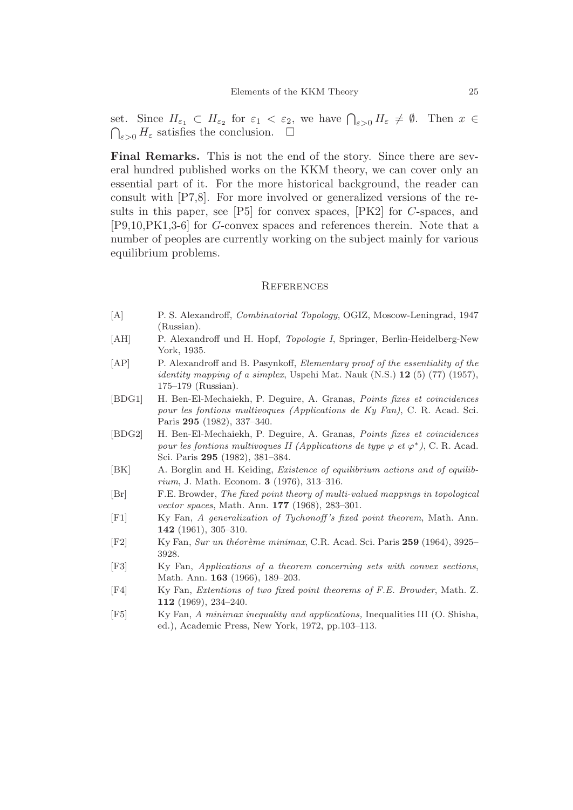set. Since  $H_{\varepsilon_1} \subset H_{\varepsilon_2}$  for  $\varepsilon_1 < \varepsilon_2$ , we have  $\bigcap_{\varepsilon > 0} H_{\varepsilon} \neq \emptyset$ . Then  $x \in$  $\bigcap_{\varepsilon>0} H_{\varepsilon}$  satisfies the conclusion.  $\square$ 

**Final Remarks.** This is not the end of the story. Since there are several hundred published works on the KKM theory, we can cover only an essential part of it. For the more historical background, the reader can consult with [P7,8]. For more involved or generalized versions of the results in this paper, see [P5] for convex spaces, [PK2] for *C*-spaces, and [P9,10,PK1,3-6] for *G*-convex spaces and references therein. Note that a number of peoples are currently working on the subject mainly for various equilibrium problems.

#### **REFERENCES**

- [A] P. S. Alexandroff, *Combinatorial Topology*, OGIZ, Moscow-Leningrad, 1947 (Russian).
- [AH] P. Alexandroff und H. Hopf, *Topologie I*, Springer, Berlin-Heidelberg-New York, 1935.
- [AP] P. Alexandroff and B. Pasynkoff, *Elementary proof of the essentiality of the identity mapping of a simplex*, Uspehi Mat. Nauk  $(N.S.)$  **12** (5) (77) (1957), 175–179 (Russian).
- [BDG1] H. Ben-El-Mechaiekh, P. Deguire, A. Granas, *Points fixes et coincidences pour les fontions multivoques (Applications de Ky Fan)*, C. R. Acad. Sci. Paris **295** (1982), 337–340.
- [BDG2] H. Ben-El-Mechaiekh, P. Deguire, A. Granas, *Points fixes et coincidences pour les fontions multivoques II (Applications de type*  $\varphi$  *et*  $\varphi^*$ ), C. R. Acad. Sci. Paris **295** (1982), 381–384.
- [BK] A. Borglin and H. Keiding, *Existence of equilibrium actions and of equilibrium*, J. Math. Econom. **3** (1976), 313–316.
- [Br] F.E. Browder, *The fixed point theory of multi-valued mappings in topological vector spaces*, Math. Ann. **177** (1968), 283–301.
- [F1] Ky Fan, *A generalization of Tychonoff 's fixed point theorem*, Math. Ann. **142** (1961), 305–310.
- [F2] Ky Fan, *Sur un th´eor`eme minimax*, C.R. Acad. Sci. Paris **259** (1964), 3925– 3928.
- [F3] Ky Fan, *Applications of a theorem concerning sets with convex sections*, Math. Ann. **163** (1966), 189–203.
- [F4] Ky Fan, *Extentions of two fixed point theorems of F.E. Browder*, Math. Z. **112** (1969), 234–240.
- [F5] Ky Fan, *A minimax inequality and applications,* Inequalities III (O. Shisha, ed.), Academic Press, New York, 1972, pp.103–113.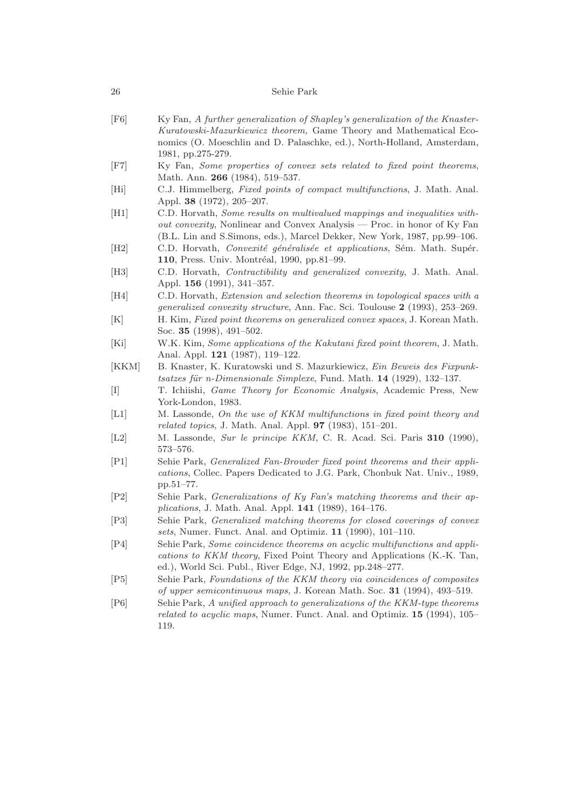- [F6] Ky Fan, *A further generalization of Shapley's generalization of the Knaster-Kuratowski-Mazurkiewicz theorem,* Game Theory and Mathematical Economics (O. Moeschlin and D. Palaschke, ed.), North-Holland, Amsterdam, 1981, pp.275-279.
- [F7] Ky Fan, *Some properties of convex sets related to fixed point theorems*, Math. Ann. **266** (1984), 519–537.
- [Hi] C.J. Himmelberg, *Fixed points of compact multifunctions*, J. Math. Anal. Appl. **38** (1972), 205–207.
- [H1] C.D. Horvath, *Some results on multivalued mappings and inequalities without convexity*, Nonlinear and Convex Analysis — Proc. in honor of Ky Fan (B.L. Lin and S.Simons, eds.), Marcel Dekker, New York, 1987, pp.99–106.
- [H2] C.D. Horvath, *Convexité généralisée et applications*, Sém. Math. Supér. 110, Press. Univ. Montréal, 1990, pp.81-99.
- [H3] C.D. Horvath, *Contractibility and generalized convexity*, J. Math. Anal. Appl. **156** (1991), 341–357.
- [H4] C.D. Horvath, *Extension and selection theorems in topological spaces with a generalized convexity structure*, Ann. Fac. Sci. Toulouse **2** (1993), 253–269.
- [K] H. Kim, *Fixed point theorems on generalized convex spaces*, J. Korean Math. Soc. **35** (1998), 491–502.
- [Ki] W.K. Kim, *Some applications of the Kakutani fixed point theorem*, J. Math. Anal. Appl. **121** (1987), 119–122.
- [KKM] B. Knaster, K. Kuratowski und S. Mazurkiewicz, *Ein Beweis des Fixpunktsatzes f¨ur n-Dimensionale Simplexe*, Fund. Math. **14** (1929), 132–137.
- [I] T. Ichiishi, *Game Theory for Economic Analysis*, Academic Press, New York-London, 1983.
- [L1] M. Lassonde, *On the use of KKM multifunctions in fixed point theory and related topics*, J. Math. Anal. Appl. **97** (1983), 151–201.
- [L2] M. Lassonde, *Sur le principe KKM*, C. R. Acad. Sci. Paris **310** (1990), 573–576.
- [P1] Sehie Park, *Generalized Fan-Browder fixed point theorems and their applications*, Collec. Papers Dedicated to J.G. Park, Chonbuk Nat. Univ., 1989, pp.51–77.
- [P2] Sehie Park, *Generalizations of Ky Fan's matching theorems and their applications*, J. Math. Anal. Appl. **141** (1989), 164–176.
- [P3] Sehie Park, *Generalized matching theorems for closed coverings of convex sets*, Numer. Funct. Anal. and Optimiz. **11** (1990), 101–110.
- [P4] Sehie Park, *Some coincidence theorems on acyclic multifunctions and applications to KKM theory*, Fixed Point Theory and Applications (K.-K. Tan, ed.), World Sci. Publ., River Edge, NJ, 1992, pp.248–277.
- [P5] Sehie Park, *Foundations of the KKM theory via coincidences of composites of upper semicontinuous maps*, J. Korean Math. Soc. **31** (1994), 493–519.
- [P6] Sehie Park, *A unified approach to generalizations of the KKM-type theorems related to acyclic maps*, Numer. Funct. Anal. and Optimiz. **15** (1994), 105– 119.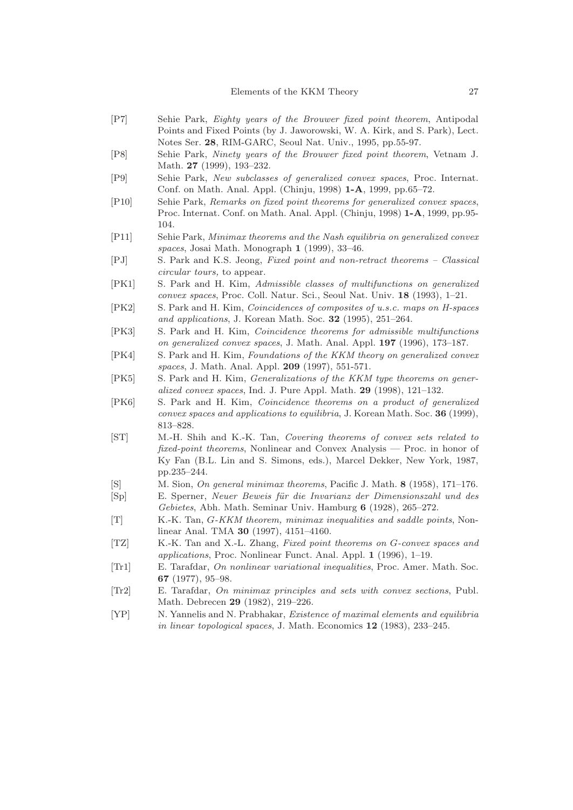- [P7] Sehie Park, *Eighty years of the Brouwer fixed point theorem*, Antipodal Points and Fixed Points (by J. Jaworowski, W. A. Kirk, and S. Park), Lect. Notes Ser. **28**, RIM-GARC, Seoul Nat. Univ., 1995, pp.55-97.
- [P8] Sehie Park, *Ninety years of the Brouwer fixed point theorem*, Vetnam J. Math. **27** (1999), 193–232.
- [P9] Sehie Park, *New subclasses of generalized convex spaces*, Proc. Internat. Conf. on Math. Anal. Appl. (Chinju, 1998) **1-A**, 1999, pp.65–72.
- [P10] Sehie Park, *Remarks on fixed point theorems for generalized convex spaces*, Proc. Internat. Conf. on Math. Anal. Appl. (Chinju, 1998) **1-A**, 1999, pp.95- 104.
- [P11] Sehie Park, *Minimax theorems and the Nash equilibria on generalized convex spaces*, Josai Math. Monograph **1** (1999), 33–46.
- [PJ] S. Park and K.S. Jeong, *Fixed point and non-retract theorems Classical circular tours,* to appear.
- [PK1] S. Park and H. Kim, *Admissible classes of multifunctions on generalized convex spaces*, Proc. Coll. Natur. Sci., Seoul Nat. Univ. **18** (1993), 1–21.
- [PK2] S. Park and H. Kim, *Coincidences of composites of u.s.c. maps on H-spaces and applications*, J. Korean Math. Soc. **32** (1995), 251–264.
- [PK3] S. Park and H. Kim, *Coincidence theorems for admissible multifunctions on generalized convex spaces*, J. Math. Anal. Appl. **197** (1996), 173–187.
- [PK4] S. Park and H. Kim, *Foundations of the KKM theory on generalized convex spaces*, J. Math. Anal. Appl. **209** (1997), 551-571.
- [PK5] S. Park and H. Kim, *Generalizations of the KKM type theorems on generalized convex spaces*, Ind. J. Pure Appl. Math. **29** (1998), 121–132.
- [PK6] S. Park and H. Kim, *Coincidence theorems on a product of generalized convex spaces and applications to equilibria*, J. Korean Math. Soc. **36** (1999), 813–828.
- [ST] M.-H. Shih and K.-K. Tan, *Covering theorems of convex sets related to fixed-point theorems*, Nonlinear and Convex Analysis — Proc. in honor of Ky Fan (B.L. Lin and S. Simons, eds.), Marcel Dekker, New York, 1987, pp.235–244.
- [S] M. Sion, *On general minimax theorems*, Pacific J. Math. **8** (1958), 171–176.
- [Sp] E. Sperner, *Neuer Beweis f¨ur die Invarianz der Dimensionszahl und des Gebietes*, Abh. Math. Seminar Univ. Hamburg **6** (1928), 265–272.
- [T] K.-K. Tan, G*-KKM theorem, minimax inequalities and saddle points*, Nonlinear Anal. TMA **30** (1997), 4151–4160.
- [TZ] K.-K. Tan and X.-L. Zhang, *Fixed point theorems on* G*-convex spaces and applications*, Proc. Nonlinear Funct. Anal. Appl. **1** (1996), 1–19.
- [Tr1] E. Tarafdar, *On nonlinear variational inequalities*, Proc. Amer. Math. Soc. **67** (1977), 95–98.
- [Tr2] E. Tarafdar, *On minimax principles and sets with convex sections*, Publ. Math. Debrecen **29** (1982), 219–226.
- [YP] N. Yannelis and N. Prabhakar, *Existence of maximal elements and equilibria in linear topological spaces*, J. Math. Economics **12** (1983), 233–245.